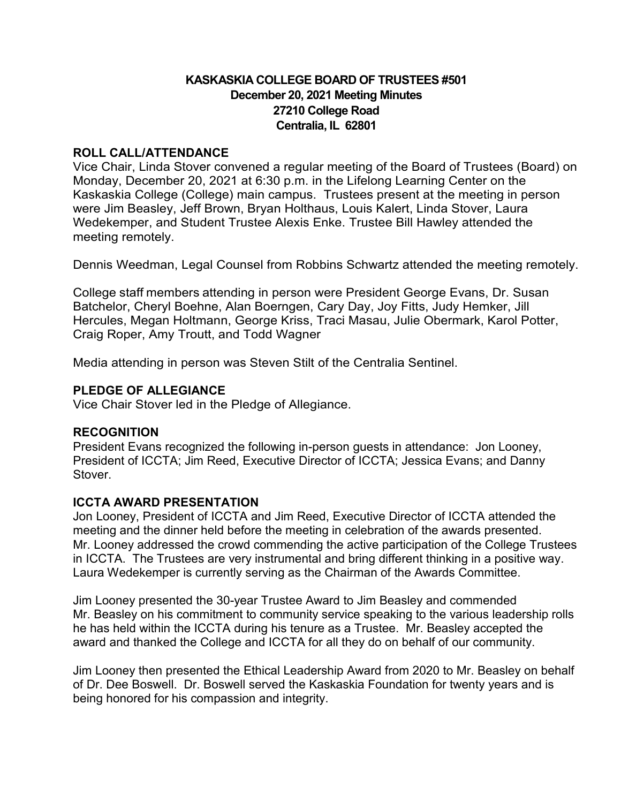# **KASKASKIA COLLEGE BOARD OF TRUSTEES #501 December 20, 2021 Meeting Minutes 27210 College Road Centralia, IL 62801**

## **ROLL CALL/ATTENDANCE**

Vice Chair, Linda Stover convened a regular meeting of the Board of Trustees (Board) on Monday, December 20, 2021 at 6:30 p.m. in the Lifelong Learning Center on the Kaskaskia College (College) main campus. Trustees present at the meeting in person were Jim Beasley, Jeff Brown, Bryan Holthaus, Louis Kalert, Linda Stover, Laura Wedekemper, and Student Trustee Alexis Enke. Trustee Bill Hawley attended the meeting remotely.

Dennis Weedman, Legal Counsel from Robbins Schwartz attended the meeting remotely.

College staff members attending in person were President George Evans, Dr. Susan Batchelor, Cheryl Boehne, Alan Boerngen, Cary Day, Joy Fitts, Judy Hemker, Jill Hercules, Megan Holtmann, George Kriss, Traci Masau, Julie Obermark, Karol Potter, Craig Roper, Amy Troutt, and Todd Wagner

Media attending in person was Steven Stilt of the Centralia Sentinel.

## **PLEDGE OF ALLEGIANCE**

Vice Chair Stover led in the Pledge of Allegiance.

## **RECOGNITION**

President Evans recognized the following in-person guests in attendance: Jon Looney, President of ICCTA; Jim Reed, Executive Director of ICCTA; Jessica Evans; and Danny Stover.

## **ICCTA AWARD PRESENTATION**

Jon Looney, President of ICCTA and Jim Reed, Executive Director of ICCTA attended the meeting and the dinner held before the meeting in celebration of the awards presented. Mr. Looney addressed the crowd commending the active participation of the College Trustees in ICCTA. The Trustees are very instrumental and bring different thinking in a positive way. Laura Wedekemper is currently serving as the Chairman of the Awards Committee.

Jim Looney presented the 30-year Trustee Award to Jim Beasley and commended Mr. Beasley on his commitment to community service speaking to the various leadership rolls he has held within the ICCTA during his tenure as a Trustee. Mr. Beasley accepted the award and thanked the College and ICCTA for all they do on behalf of our community.

Jim Looney then presented the Ethical Leadership Award from 2020 to Mr. Beasley on behalf of Dr. Dee Boswell. Dr. Boswell served the Kaskaskia Foundation for twenty years and is being honored for his compassion and integrity.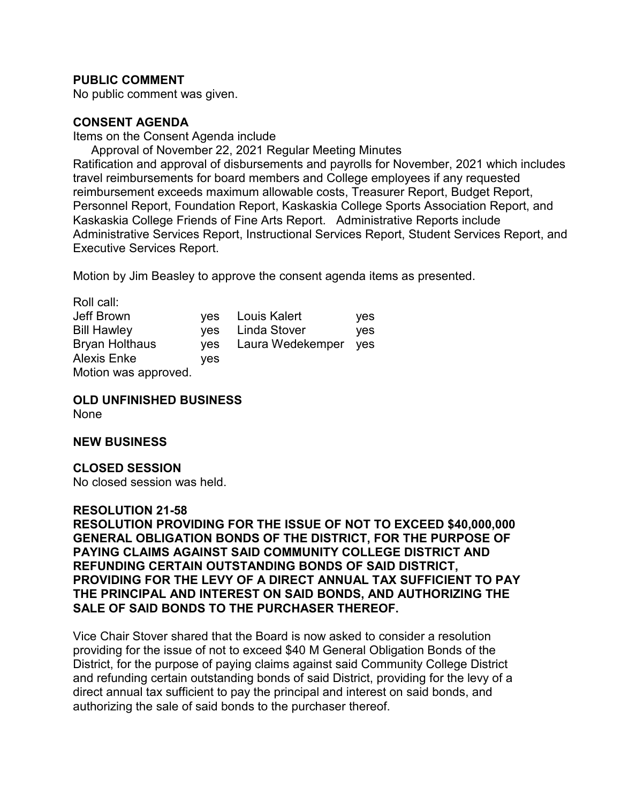## **PUBLIC COMMENT**

No public comment was given.

### **CONSENT AGENDA**

Items on the Consent Agenda include

Approval of November 22, 2021 Regular Meeting Minutes Ratification and approval of disbursements and payrolls for November, 2021 which includes travel reimbursements for board members and College employees if any requested reimbursement exceeds maximum allowable costs, Treasurer Report, Budget Report, Personnel Report, Foundation Report, Kaskaskia College Sports Association Report, and Kaskaskia College Friends of Fine Arts Report. Administrative Reports include Administrative Services Report, Instructional Services Report, Student Services Report, and Executive Services Report.

Motion by Jim Beasley to approve the consent agenda items as presented.

| Roll call:            |            |                  |     |
|-----------------------|------------|------------------|-----|
| Jeff Brown            |            | yes Louis Kalert | yes |
| <b>Bill Hawley</b>    |            | yes Linda Stover | ves |
| <b>Bryan Holthaus</b> | <b>ves</b> | Laura Wedekemper | ves |
| <b>Alexis Enke</b>    | ves        |                  |     |
| Motion was approved.  |            |                  |     |

**OLD UNFINISHED BUSINESS**

None

### **NEW BUSINESS**

## **CLOSED SESSION**

No closed session was held.

### **RESOLUTION 21-58**

**RESOLUTION PROVIDING FOR THE ISSUE OF NOT TO EXCEED \$40,000,000 GENERAL OBLIGATION BONDS OF THE DISTRICT, FOR THE PURPOSE OF PAYING CLAIMS AGAINST SAID COMMUNITY COLLEGE DISTRICT AND REFUNDING CERTAIN OUTSTANDING BONDS OF SAID DISTRICT, PROVIDING FOR THE LEVY OF A DIRECT ANNUAL TAX SUFFICIENT TO PAY THE PRINCIPAL AND INTEREST ON SAID BONDS, AND AUTHORIZING THE SALE OF SAID BONDS TO THE PURCHASER THEREOF.**

Vice Chair Stover shared that the Board is now asked to consider a resolution providing for the issue of not to exceed \$40 M General Obligation Bonds of the District, for the purpose of paying claims against said Community College District and refunding certain outstanding bonds of said District, providing for the levy of a direct annual tax sufficient to pay the principal and interest on said bonds, and authorizing the sale of said bonds to the purchaser thereof.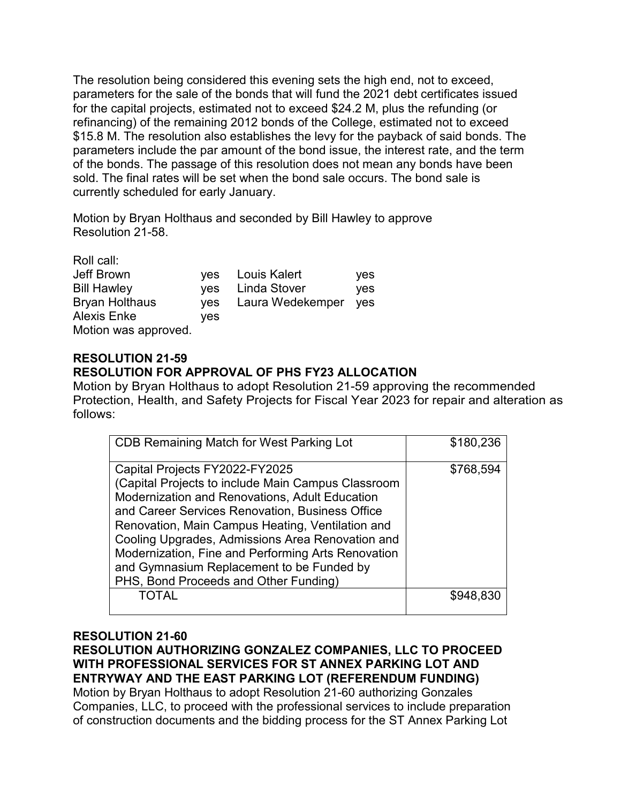The resolution being considered this evening sets the high end, not to exceed, parameters for the sale of the bonds that will fund the 2021 debt certificates issued for the capital projects, estimated not to exceed \$24.2 M, plus the refunding (or refinancing) of the remaining 2012 bonds of the College, estimated not to exceed \$15.8 M. The resolution also establishes the levy for the payback of said bonds. The parameters include the par amount of the bond issue, the interest rate, and the term of the bonds. The passage of this resolution does not mean any bonds have been sold. The final rates will be set when the bond sale occurs. The bond sale is currently scheduled for early January.

Motion by Bryan Holthaus and seconded by Bill Hawley to approve Resolution 21-58.

| Roll call:            |            |                  |     |
|-----------------------|------------|------------------|-----|
| Jeff Brown            |            | yes Louis Kalert | yes |
| <b>Bill Hawley</b>    | ves        | Linda Stover     | yes |
| <b>Bryan Holthaus</b> | <b>ves</b> | Laura Wedekemper | yes |
| <b>Alexis Enke</b>    | ves        |                  |     |
| Motion was approved.  |            |                  |     |

# **RESOLUTION 21-59**

# **RESOLUTION FOR APPROVAL OF PHS FY23 ALLOCATION**

Motion by Bryan Holthaus to adopt Resolution 21-59 approving the recommended Protection, Health, and Safety Projects for Fiscal Year 2023 for repair and alteration as follows:

| CDB Remaining Match for West Parking Lot                                                                                                                                                                                                                                                                                                                                                                                                             | \$180,236 |
|------------------------------------------------------------------------------------------------------------------------------------------------------------------------------------------------------------------------------------------------------------------------------------------------------------------------------------------------------------------------------------------------------------------------------------------------------|-----------|
| Capital Projects FY2022-FY2025<br>(Capital Projects to include Main Campus Classroom<br><b>Modernization and Renovations, Adult Education</b><br>and Career Services Renovation, Business Office<br>Renovation, Main Campus Heating, Ventilation and<br>Cooling Upgrades, Admissions Area Renovation and<br>Modernization, Fine and Performing Arts Renovation<br>and Gymnasium Replacement to be Funded by<br>PHS, Bond Proceeds and Other Funding) | \$768,594 |
| TOTAL                                                                                                                                                                                                                                                                                                                                                                                                                                                | \$948,830 |

## **RESOLUTION 21-60**

# **RESOLUTION AUTHORIZING GONZALEZ COMPANIES, LLC TO PROCEED WITH PROFESSIONAL SERVICES FOR ST ANNEX PARKING LOT AND ENTRYWAY AND THE EAST PARKING LOT (REFERENDUM FUNDING)**

Motion by Bryan Holthaus to adopt Resolution 21-60 authorizing Gonzales Companies, LLC, to proceed with the professional services to include preparation of construction documents and the bidding process for the ST Annex Parking Lot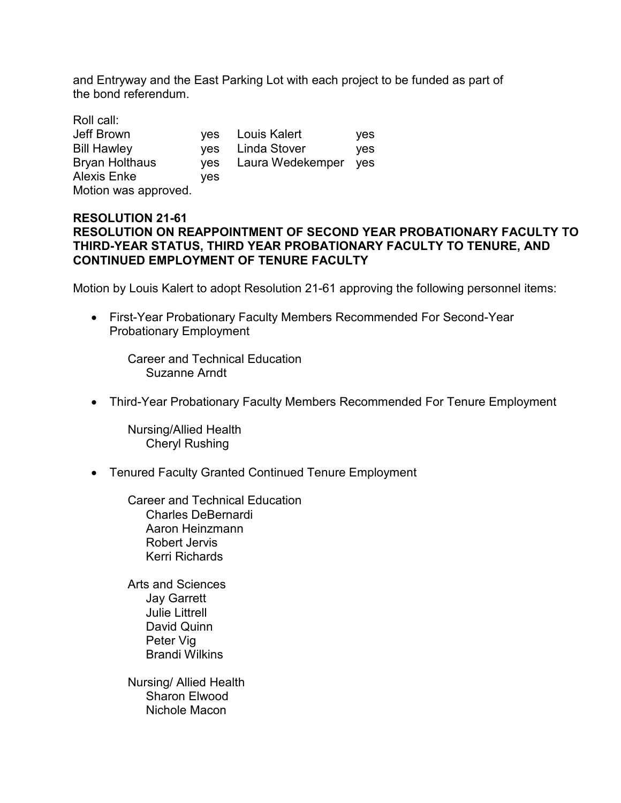and Entryway and the East Parking Lot with each project to be funded as part of the bond referendum.

| Roll call:            |            |                  |            |
|-----------------------|------------|------------------|------------|
| Jeff Brown            |            | yes Louis Kalert | <b>ves</b> |
| <b>Bill Hawley</b>    | <b>ves</b> | Linda Stover     | <b>ves</b> |
| <b>Bryan Holthaus</b> | <b>ves</b> | Laura Wedekemper | yes        |
| <b>Alexis Enke</b>    | ves        |                  |            |
| Motion was approved.  |            |                  |            |

## **RESOLUTION 21-61 RESOLUTION ON REAPPOINTMENT OF SECOND YEAR PROBATIONARY FACULTY TO THIRD-YEAR STATUS, THIRD YEAR PROBATIONARY FACULTY TO TENURE, AND CONTINUED EMPLOYMENT OF TENURE FACULTY**

Motion by Louis Kalert to adopt Resolution 21-61 approving the following personnel items:

• First-Year Probationary Faculty Members Recommended For Second-Year Probationary Employment

Career and Technical Education Suzanne Arndt

• Third-Year Probationary Faculty Members Recommended For Tenure Employment

Nursing/Allied Health Cheryl Rushing

• Tenured Faculty Granted Continued Tenure Employment

Career and Technical Education Charles DeBernardi Aaron Heinzmann Robert Jervis Kerri Richards

Arts and Sciences Jay Garrett Julie Littrell David Quinn Peter Vig Brandi Wilkins

Nursing/ Allied Health Sharon Elwood Nichole Macon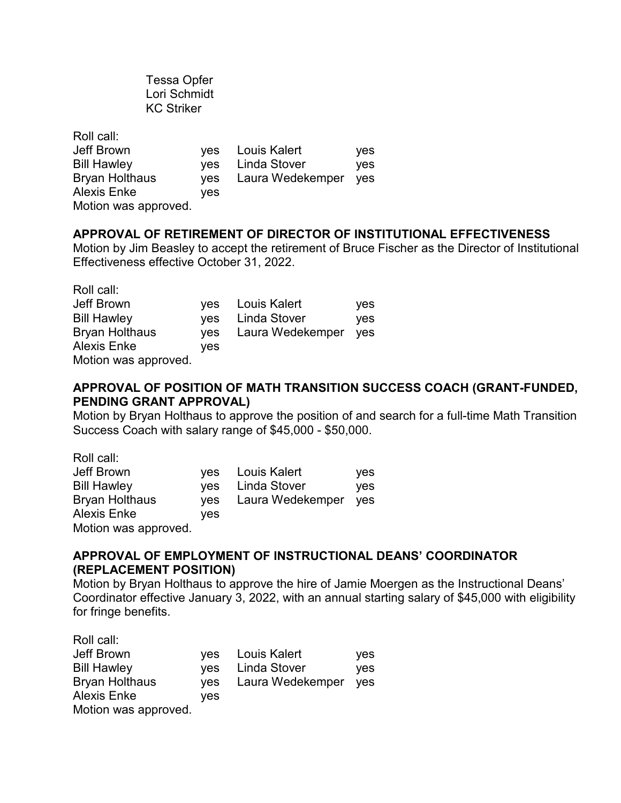Tessa Opfer Lori Schmidt KC Striker

| Roll call:            |            |                  |     |
|-----------------------|------------|------------------|-----|
| Jeff Brown            |            | yes Louis Kalert | yes |
| <b>Bill Hawley</b>    |            | yes Linda Stover | yes |
| <b>Bryan Holthaus</b> | <b>ves</b> | Laura Wedekemper | yes |
| <b>Alexis Enke</b>    | ves        |                  |     |
| Motion was approved.  |            |                  |     |

## **APPROVAL OF RETIREMENT OF DIRECTOR OF INSTITUTIONAL EFFECTIVENESS**

Motion by Jim Beasley to accept the retirement of Bruce Fischer as the Director of Institutional Effectiveness effective October 31, 2022.

| Roll call:            |            |                  |     |
|-----------------------|------------|------------------|-----|
| Jeff Brown            |            | yes Louis Kalert | yes |
| <b>Bill Hawley</b>    |            | yes Linda Stover | yes |
| <b>Bryan Holthaus</b> | <b>ves</b> | Laura Wedekemper | yes |
| <b>Alexis Enke</b>    | ves        |                  |     |
| Motion was approved.  |            |                  |     |

# **APPROVAL OF POSITION OF MATH TRANSITION SUCCESS COACH (GRANT-FUNDED, PENDING GRANT APPROVAL)**

Motion by Bryan Holthaus to approve the position of and search for a full-time Math Transition Success Coach with salary range of \$45,000 - \$50,000.

| Roll call:            |            |                  |            |
|-----------------------|------------|------------------|------------|
| Jeff Brown            |            | yes Louis Kalert | yes        |
| <b>Bill Hawley</b>    | ves        | Linda Stover     | <b>ves</b> |
| <b>Bryan Holthaus</b> | <b>ves</b> | Laura Wedekemper | yes        |
| <b>Alexis Enke</b>    | ves        |                  |            |
| Motion was approved.  |            |                  |            |

# **APPROVAL OF EMPLOYMENT OF INSTRUCTIONAL DEANS' COORDINATOR (REPLACEMENT POSITION)**

Motion by Bryan Holthaus to approve the hire of Jamie Moergen as the Instructional Deans' Coordinator effective January 3, 2022, with an annual starting salary of \$45,000 with eligibility for fringe benefits.

| Roll call:            |            |                  |     |
|-----------------------|------------|------------------|-----|
| Jeff Brown            |            | yes Louis Kalert | yes |
| <b>Bill Hawley</b>    |            | ves Linda Stover | yes |
| <b>Bryan Holthaus</b> | <b>ves</b> | Laura Wedekemper | yes |
| <b>Alexis Enke</b>    | ves        |                  |     |
| Motion was approved.  |            |                  |     |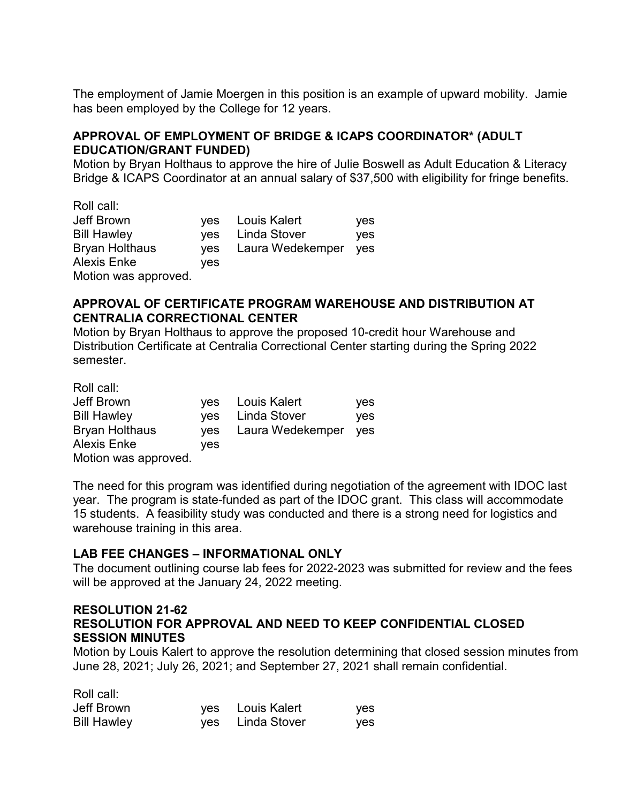The employment of Jamie Moergen in this position is an example of upward mobility. Jamie has been employed by the College for 12 years.

# **APPROVAL OF EMPLOYMENT OF BRIDGE & ICAPS COORDINATOR\* (ADULT EDUCATION/GRANT FUNDED)**

Motion by Bryan Holthaus to approve the hire of Julie Boswell as Adult Education & Literacy Bridge & ICAPS Coordinator at an annual salary of \$37,500 with eligibility for fringe benefits.

| Roll call:            |            |                  |            |
|-----------------------|------------|------------------|------------|
| Jeff Brown            |            | yes Louis Kalert | yes        |
| <b>Bill Hawley</b>    | <b>ves</b> | Linda Stover     | <b>ves</b> |
| <b>Bryan Holthaus</b> | <b>ves</b> | Laura Wedekemper | yes        |
| <b>Alexis Enke</b>    | ves        |                  |            |
| Motion was approved.  |            |                  |            |

## **APPROVAL OF CERTIFICATE PROGRAM WAREHOUSE AND DISTRIBUTION AT CENTRALIA CORRECTIONAL CENTER**

Motion by Bryan Holthaus to approve the proposed 10-credit hour Warehouse and Distribution Certificate at Centralia Correctional Center starting during the Spring 2022 semester.

Roll call:

Roll call

| Jeff Brown            |     | yes Louis Kalert     | yes        |
|-----------------------|-----|----------------------|------------|
| <b>Bill Hawley</b>    |     | yes Linda Stover     | <b>ves</b> |
| <b>Bryan Holthaus</b> | ves | Laura Wedekemper yes |            |
| <b>Alexis Enke</b>    | ves |                      |            |
| Motion was approved.  |     |                      |            |

The need for this program was identified during negotiation of the agreement with IDOC last year. The program is state-funded as part of the IDOC grant. This class will accommodate 15 students. A feasibility study was conducted and there is a strong need for logistics and warehouse training in this area.

## **LAB FEE CHANGES – INFORMATIONAL ONLY**

The document outlining course lab fees for 2022-2023 was submitted for review and the fees will be approved at the January 24, 2022 meeting.

### **RESOLUTION 21-62 RESOLUTION FOR APPROVAL AND NEED TO KEEP CONFIDENTIAL CLOSED SESSION MINUTES**

Motion by Louis Kalert to approve the resolution determining that closed session minutes from June 28, 2021; July 26, 2021; and September 27, 2021 shall remain confidential.

| ROII CAII:         |                  |     |
|--------------------|------------------|-----|
| Jeff Brown         | yes Louis Kalert | yes |
| <b>Bill Hawley</b> | yes Linda Stover | yes |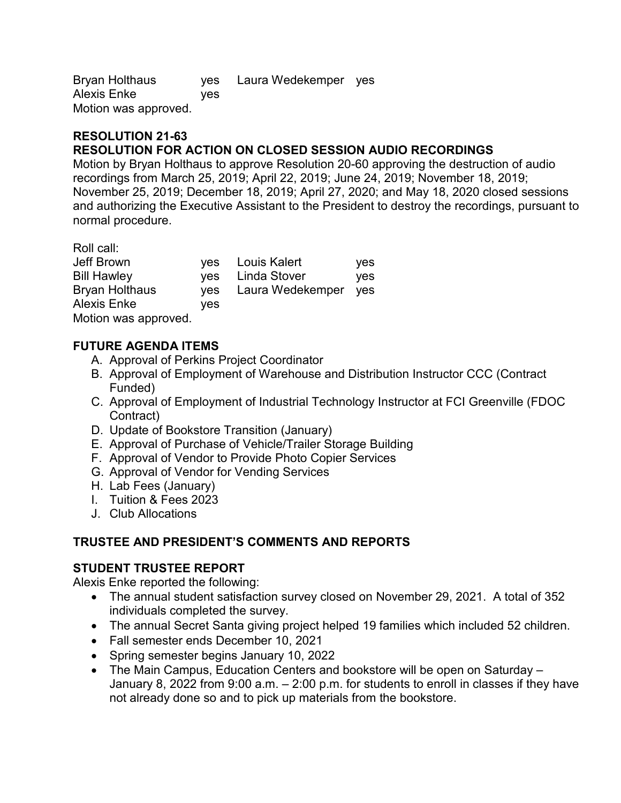Bryan Holthaus yes Laura Wedekemper yes Alexis Enke yes Motion was approved.

## **RESOLUTION 21-63 RESOLUTION FOR ACTION ON CLOSED SESSION AUDIO RECORDINGS**

Motion by Bryan Holthaus to approve Resolution 20-60 approving the destruction of audio recordings from March 25, 2019; April 22, 2019; June 24, 2019; November 18, 2019; November 25, 2019; December 18, 2019; April 27, 2020; and May 18, 2020 closed sessions and authorizing the Executive Assistant to the President to destroy the recordings, pursuant to normal procedure.

Roll call:

| Jeff Brown           |     | yes Louis Kalert         | yes |
|----------------------|-----|--------------------------|-----|
| <b>Bill Hawley</b>   |     | yes Linda Stover         | yes |
| Bryan Holthaus       |     | yes Laura Wedekemper yes |     |
| <b>Alexis Enke</b>   | ves |                          |     |
| Motion was approved. |     |                          |     |

# **FUTURE AGENDA ITEMS**

- A. Approval of Perkins Project Coordinator
- B. Approval of Employment of Warehouse and Distribution Instructor CCC (Contract Funded)
- C. Approval of Employment of Industrial Technology Instructor at FCI Greenville (FDOC Contract)
- D. Update of Bookstore Transition (January)
- E. Approval of Purchase of Vehicle/Trailer Storage Building
- F. Approval of Vendor to Provide Photo Copier Services
- G. Approval of Vendor for Vending Services
- H. Lab Fees (January)
- I. Tuition & Fees 2023
- J. Club Allocations

# **TRUSTEE AND PRESIDENT'S COMMENTS AND REPORTS**

# **STUDENT TRUSTEE REPORT**

Alexis Enke reported the following:

- The annual student satisfaction survey closed on November 29, 2021. A total of 352 individuals completed the survey.
- The annual Secret Santa giving project helped 19 families which included 52 children.
- Fall semester ends December 10, 2021
- Spring semester begins January 10, 2022
- The Main Campus, Education Centers and bookstore will be open on Saturday January 8, 2022 from 9:00 a.m. – 2:00 p.m. for students to enroll in classes if they have not already done so and to pick up materials from the bookstore.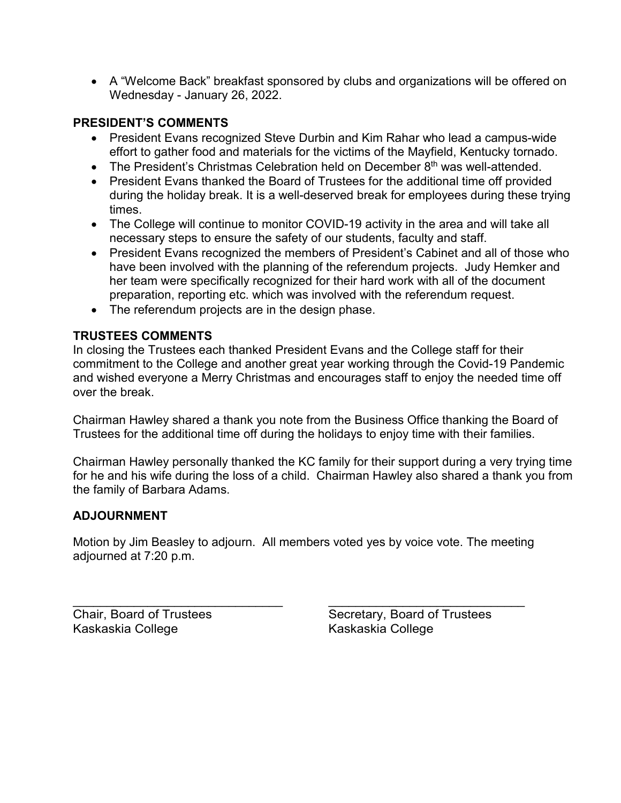• A "Welcome Back" breakfast sponsored by clubs and organizations will be offered on Wednesday - January 26, 2022.

# **PRESIDENT'S COMMENTS**

- President Evans recognized Steve Durbin and Kim Rahar who lead a campus-wide effort to gather food and materials for the victims of the Mayfield, Kentucky tornado.
- The President's Christmas Celebration held on December  $8<sup>th</sup>$  was well-attended.
- President Evans thanked the Board of Trustees for the additional time off provided during the holiday break. It is a well-deserved break for employees during these trying times.
- The College will continue to monitor COVID-19 activity in the area and will take all necessary steps to ensure the safety of our students, faculty and staff.
- President Evans recognized the members of President's Cabinet and all of those who have been involved with the planning of the referendum projects. Judy Hemker and her team were specifically recognized for their hard work with all of the document preparation, reporting etc. which was involved with the referendum request.
- The referendum projects are in the design phase.

## **TRUSTEES COMMENTS**

In closing the Trustees each thanked President Evans and the College staff for their commitment to the College and another great year working through the Covid-19 Pandemic and wished everyone a Merry Christmas and encourages staff to enjoy the needed time off over the break.

Chairman Hawley shared a thank you note from the Business Office thanking the Board of Trustees for the additional time off during the holidays to enjoy time with their families.

Chairman Hawley personally thanked the KC family for their support during a very trying time for he and his wife during the loss of a child. Chairman Hawley also shared a thank you from the family of Barbara Adams.

## **ADJOURNMENT**

Motion by Jim Beasley to adjourn. All members voted yes by voice vote. The meeting adjourned at 7:20 p.m.

\_\_\_\_\_\_\_\_\_\_\_\_\_\_\_\_\_\_\_\_\_\_\_\_\_\_\_\_\_\_\_ \_\_\_\_\_\_\_\_\_\_\_\_\_\_\_\_\_\_\_\_\_\_\_\_\_\_\_\_\_

Kaskaskia College Kaskaskia College

Chair, Board of Trustees Secretary, Board of Trustees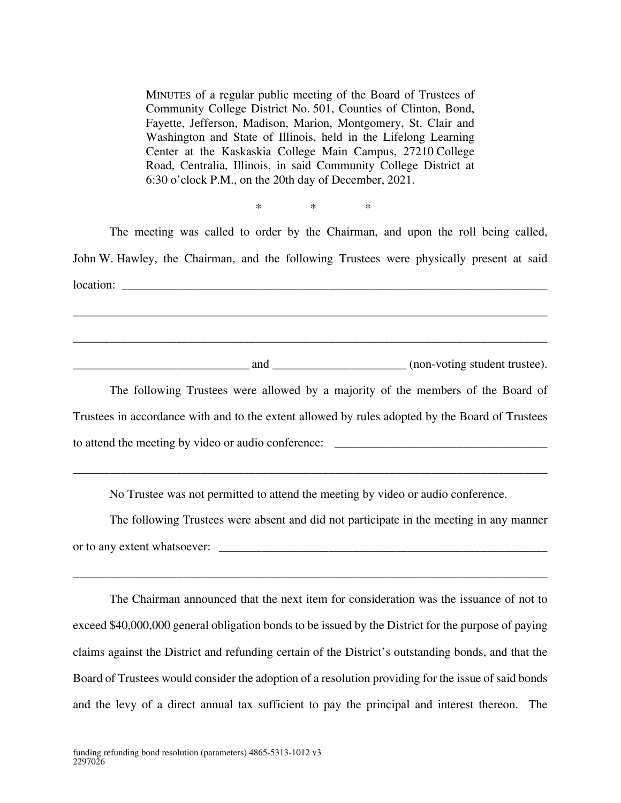MINUTES of a regular public meeting of the Board of Trustees of Community College District No. 501, Counties of Clinton, Bond, Fayette, Jefferson, Madison, Marion, Montgomery, St. Clair and Washington and State of Illinois, held in the Lifelong Learning Center at the Kaskaskia College Main Campus, 27210 College Road, Centralia, Illinois, in said Community College District at 6:30 o'clock P.M., on the 20th day of December, 2021.

The meeting was called to order by the Chairman, and upon the roll being called, John W. Hawley, the Chairman, and the following Trustees were physically present at said  $location:$ \_\_\_\_\_\_\_\_\_\_\_\_\_\_\_\_\_\_\_\_\_\_\_\_\_\_\_\_\_\_\_\_\_\_\_\_\_\_\_\_\_\_\_\_\_\_\_\_\_\_\_\_\_\_\_\_\_\_\_\_\_\_\_\_\_\_\_\_\_\_\_\_\_\_\_\_\_\_ \_\_\_\_\_\_\_\_\_\_\_\_\_\_\_\_\_\_\_\_\_\_\_\_\_\_\_\_\_\_\_\_\_\_\_\_\_\_\_\_\_\_\_\_\_\_\_\_\_\_\_\_\_\_\_\_\_\_\_\_\_\_\_\_\_\_\_\_\_\_\_\_\_\_\_\_\_\_

 $*$  \* \* \*

\_\_\_\_\_\_\_\_\_\_\_\_\_\_\_\_\_\_\_\_\_\_\_\_\_\_\_\_\_ and \_\_\_\_\_\_\_\_\_\_\_\_\_\_\_\_\_\_\_\_\_\_ (non-voting student trustee).

The following Trustees were allowed by a majority of the members of the Board of Trustees in accordance with and to the extent allowed by rules adopted by the Board of Trustees to attend the meeting by video or audio conference:

No Trustee was not permitted to attend the meeting by video or audio conference.

\_\_\_\_\_\_\_\_\_\_\_\_\_\_\_\_\_\_\_\_\_\_\_\_\_\_\_\_\_\_\_\_\_\_\_\_\_\_\_\_\_\_\_\_\_\_\_\_\_\_\_\_\_\_\_\_\_\_\_\_\_\_\_\_\_\_\_\_\_\_\_\_\_\_\_\_\_\_

The following Trustees were absent and did not participate in the meeting in any manner or to any extent whatsoever: \_\_\_\_\_\_\_\_\_\_\_\_\_\_\_\_\_\_\_\_\_\_\_\_\_\_\_\_\_\_\_\_\_\_\_\_\_\_\_\_\_\_\_\_\_\_\_\_\_\_\_\_\_\_

\_\_\_\_\_\_\_\_\_\_\_\_\_\_\_\_\_\_\_\_\_\_\_\_\_\_\_\_\_\_\_\_\_\_\_\_\_\_\_\_\_\_\_\_\_\_\_\_\_\_\_\_\_\_\_\_\_\_\_\_\_\_\_\_\_\_\_\_\_\_\_\_\_\_\_\_\_\_

The Chairman announced that the next item for consideration was the issuance of not to exceed \$40,000,000 general obligation bonds to be issued by the District for the purpose of paying claims against the District and refunding certain of the District's outstanding bonds, and that the Board of Trustees would consider the adoption of a resolution providing for the issue of said bonds and the levy of a direct annual tax sufficient to pay the principal and interest thereon. The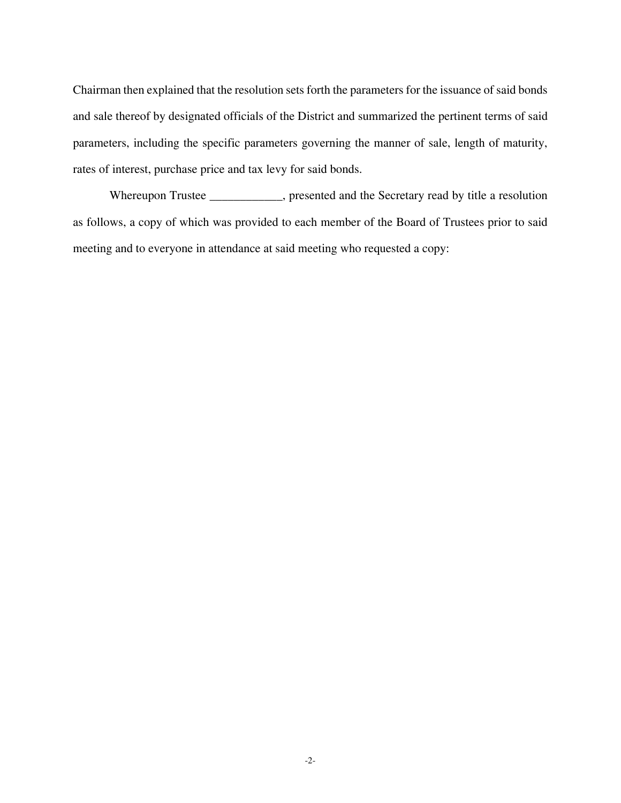Chairman then explained that the resolution sets forth the parameters for the issuance of said bonds and sale thereof by designated officials of the District and summarized the pertinent terms of said parameters, including the specific parameters governing the manner of sale, length of maturity, rates of interest, purchase price and tax levy for said bonds.

Whereupon Trustee \_\_\_\_\_\_\_\_\_\_, presented and the Secretary read by title a resolution as follows, a copy of which was provided to each member of the Board of Trustees prior to said meeting and to everyone in attendance at said meeting who requested a copy: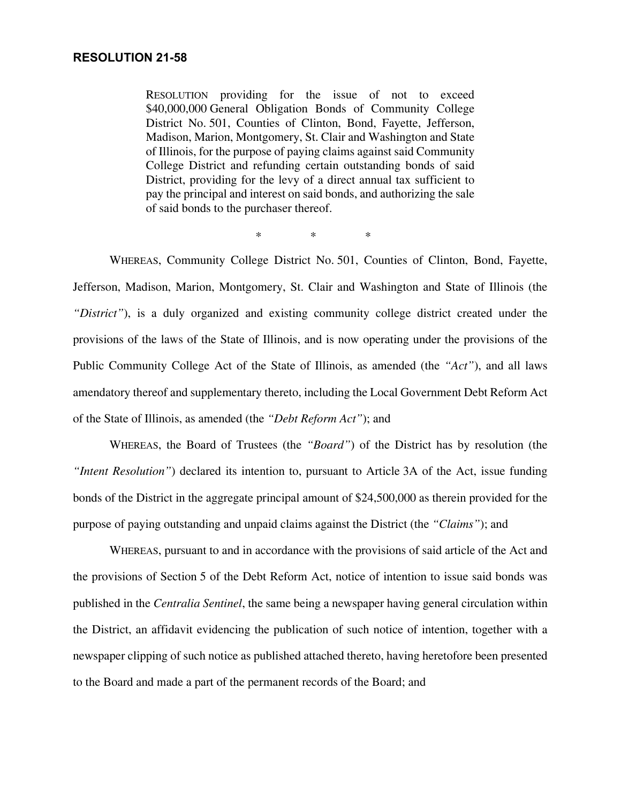#### **RESOLUTION 21-58**

RESOLUTION providing for the issue of not to exceed \$40,000,000 General Obligation Bonds of Community College District No. 501, Counties of Clinton, Bond, Fayette, Jefferson, Madison, Marion, Montgomery, St. Clair and Washington and State of Illinois, for the purpose of paying claims against said Community College District and refunding certain outstanding bonds of said District, providing for the levy of a direct annual tax sufficient to pay the principal and interest on said bonds, and authorizing the sale of said bonds to the purchaser thereof.

 $*$  \* \* \*

WHEREAS, Community College District No. 501, Counties of Clinton, Bond, Fayette, Jefferson, Madison, Marion, Montgomery, St. Clair and Washington and State of Illinois (the *"District"*), is a duly organized and existing community college district created under the provisions of the laws of the State of Illinois, and is now operating under the provisions of the Public Community College Act of the State of Illinois, as amended (the *"Act"*), and all laws amendatory thereof and supplementary thereto, including the Local Government Debt Reform Act of the State of Illinois, as amended (the *"Debt Reform Act"*); and

WHEREAS, the Board of Trustees (the *"Board"*) of the District has by resolution (the *"Intent Resolution"*) declared its intention to, pursuant to Article 3A of the Act, issue funding bonds of the District in the aggregate principal amount of \$24,500,000 as therein provided for the purpose of paying outstanding and unpaid claims against the District (the *"Claims"*); and

WHEREAS, pursuant to and in accordance with the provisions of said article of the Act and the provisions of Section 5 of the Debt Reform Act, notice of intention to issue said bonds was published in the *Centralia Sentinel*, the same being a newspaper having general circulation within the District, an affidavit evidencing the publication of such notice of intention, together with a newspaper clipping of such notice as published attached thereto, having heretofore been presented to the Board and made a part of the permanent records of the Board; and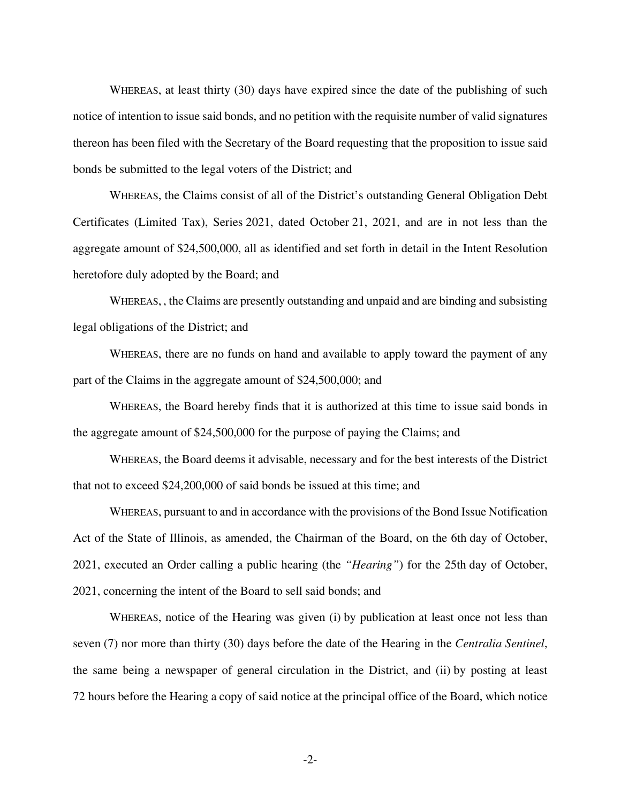WHEREAS, at least thirty (30) days have expired since the date of the publishing of such notice of intention to issue said bonds, and no petition with the requisite number of valid signatures thereon has been filed with the Secretary of the Board requesting that the proposition to issue said bonds be submitted to the legal voters of the District; and

WHEREAS, the Claims consist of all of the District's outstanding General Obligation Debt Certificates (Limited Tax), Series 2021, dated October 21, 2021, and are in not less than the aggregate amount of \$24,500,000, all as identified and set forth in detail in the Intent Resolution heretofore duly adopted by the Board; and

WHEREAS, , the Claims are presently outstanding and unpaid and are binding and subsisting legal obligations of the District; and

WHEREAS, there are no funds on hand and available to apply toward the payment of any part of the Claims in the aggregate amount of \$24,500,000; and

WHEREAS, the Board hereby finds that it is authorized at this time to issue said bonds in the aggregate amount of \$24,500,000 for the purpose of paying the Claims; and

WHEREAS, the Board deems it advisable, necessary and for the best interests of the District that not to exceed \$24,200,000 of said bonds be issued at this time; and

WHEREAS, pursuant to and in accordance with the provisions of the Bond Issue Notification Act of the State of Illinois, as amended, the Chairman of the Board, on the 6th day of October, 2021, executed an Order calling a public hearing (the *"Hearing"*) for the 25th day of October, 2021, concerning the intent of the Board to sell said bonds; and

WHEREAS, notice of the Hearing was given (i) by publication at least once not less than seven (7) nor more than thirty (30) days before the date of the Hearing in the *Centralia Sentinel*, the same being a newspaper of general circulation in the District, and (ii) by posting at least 72 hours before the Hearing a copy of said notice at the principal office of the Board, which notice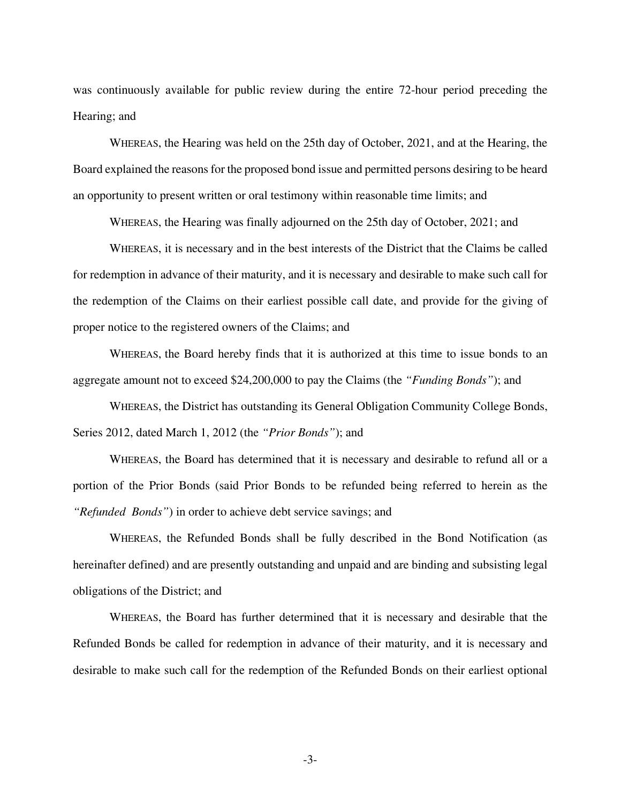was continuously available for public review during the entire 72-hour period preceding the Hearing; and

WHEREAS, the Hearing was held on the 25th day of October, 2021, and at the Hearing, the Board explained the reasons for the proposed bond issue and permitted persons desiring to be heard an opportunity to present written or oral testimony within reasonable time limits; and

WHEREAS, the Hearing was finally adjourned on the 25th day of October, 2021; and

WHEREAS, it is necessary and in the best interests of the District that the Claims be called for redemption in advance of their maturity, and it is necessary and desirable to make such call for the redemption of the Claims on their earliest possible call date, and provide for the giving of proper notice to the registered owners of the Claims; and

WHEREAS, the Board hereby finds that it is authorized at this time to issue bonds to an aggregate amount not to exceed \$24,200,000 to pay the Claims (the *"Funding Bonds"*); and

WHEREAS, the District has outstanding its General Obligation Community College Bonds, Series 2012, dated March 1, 2012 (the *"Prior Bonds"*); and

WHEREAS, the Board has determined that it is necessary and desirable to refund all or a portion of the Prior Bonds (said Prior Bonds to be refunded being referred to herein as the *"Refunded Bonds"*) in order to achieve debt service savings; and

WHEREAS, the Refunded Bonds shall be fully described in the Bond Notification (as hereinafter defined) and are presently outstanding and unpaid and are binding and subsisting legal obligations of the District; and

WHEREAS, the Board has further determined that it is necessary and desirable that the Refunded Bonds be called for redemption in advance of their maturity, and it is necessary and desirable to make such call for the redemption of the Refunded Bonds on their earliest optional

-3-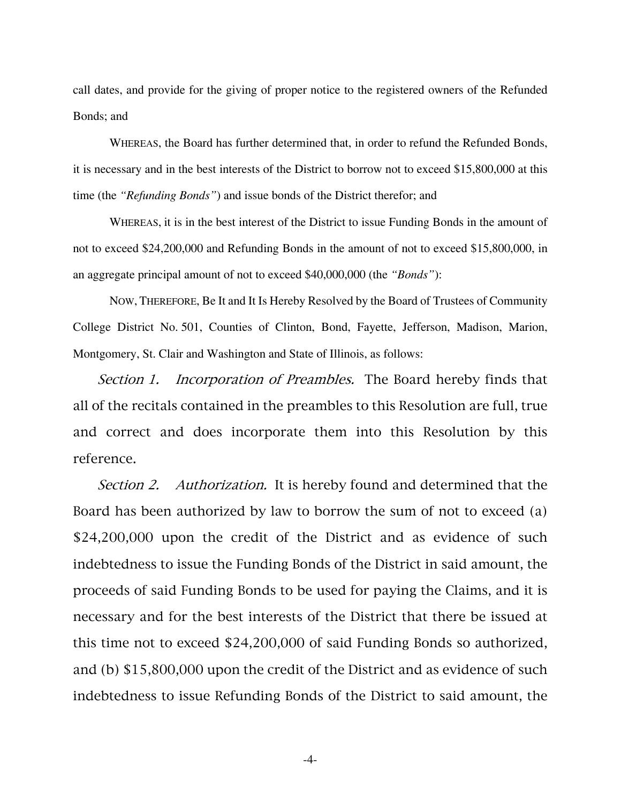call dates, and provide for the giving of proper notice to the registered owners of the Refunded Bonds; and

WHEREAS, the Board has further determined that, in order to refund the Refunded Bonds, it is necessary and in the best interests of the District to borrow not to exceed \$15,800,000 at this time (the *"Refunding Bonds"*) and issue bonds of the District therefor; and

WHEREAS, it is in the best interest of the District to issue Funding Bonds in the amount of not to exceed \$24,200,000 and Refunding Bonds in the amount of not to exceed \$15,800,000, in an aggregate principal amount of not to exceed \$40,000,000 (the *"Bonds"*):

NOW, THEREFORE, Be It and It Is Hereby Resolved by the Board of Trustees of Community College District No. 501, Counties of Clinton, Bond, Fayette, Jefferson, Madison, Marion, Montgomery, St. Clair and Washington and State of Illinois, as follows:

Section 1. Incorporation of Preambles. The Board hereby finds that all of the recitals contained in the preambles to this Resolution are full, true and correct and does incorporate them into this Resolution by this reference.

Section 2. Authorization. It is hereby found and determined that the Board has been authorized by law to borrow the sum of not to exceed (a) \$24,200,000 upon the credit of the District and as evidence of such indebtedness to issue the Funding Bonds of the District in said amount, the proceeds of said Funding Bonds to be used for paying the Claims, and it is necessary and for the best interests of the District that there be issued at this time not to exceed \$24,200,000 of said Funding Bonds so authorized, and (b) \$15,800,000 upon the credit of the District and as evidence of such indebtedness to issue Refunding Bonds of the District to said amount, the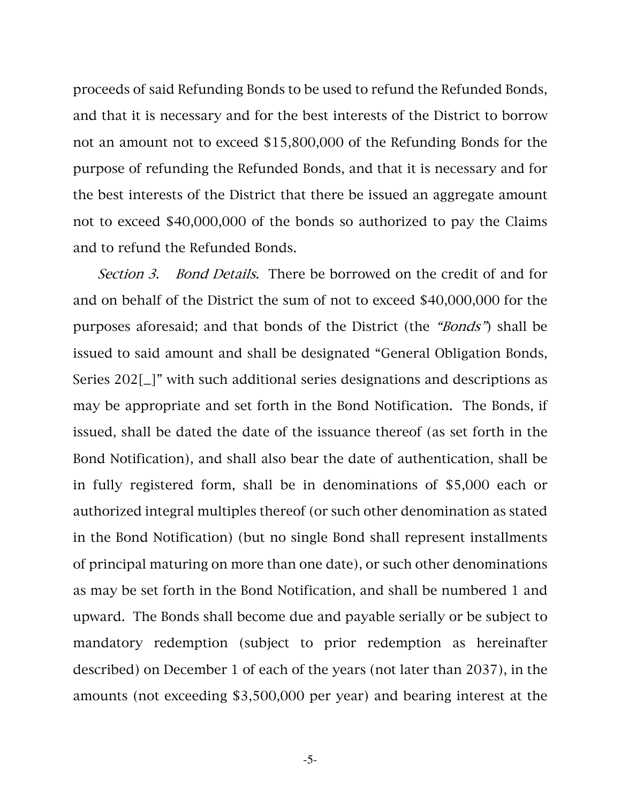proceeds of said Refunding Bonds to be used to refund the Refunded Bonds, and that it is necessary and for the best interests of the District to borrow not an amount not to exceed \$15,800,000 of the Refunding Bonds for the purpose of refunding the Refunded Bonds, and that it is necessary and for the best interests of the District that there be issued an aggregate amount not to exceed \$40,000,000 of the bonds so authorized to pay the Claims and to refund the Refunded Bonds.

Section 3. Bond Details. There be borrowed on the credit of and for and on behalf of the District the sum of not to exceed \$40,000,000 for the purposes aforesaid; and that bonds of the District (the "Bonds") shall be issued to said amount and shall be designated "General Obligation Bonds, Series 202[\_]" with such additional series designations and descriptions as may be appropriate and set forth in the Bond Notification. The Bonds, if issued, shall be dated the date of the issuance thereof (as set forth in the Bond Notification), and shall also bear the date of authentication, shall be in fully registered form, shall be in denominations of \$5,000 each or authorized integral multiples thereof (or such other denomination as stated in the Bond Notification) (but no single Bond shall represent installments of principal maturing on more than one date), or such other denominations as may be set forth in the Bond Notification, and shall be numbered 1 and upward. The Bonds shall become due and payable serially or be subject to mandatory redemption (subject to prior redemption as hereinafter described) on December 1 of each of the years (not later than 2037), in the amounts (not exceeding \$3,500,000 per year) and bearing interest at the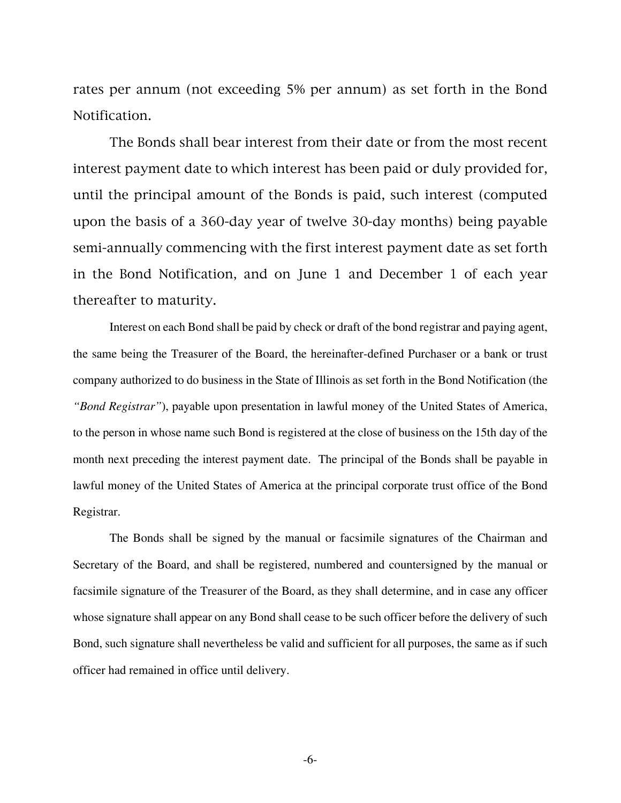rates per annum (not exceeding 5% per annum) as set forth in the Bond Notification.

 The Bonds shall bear interest from their date or from the most recent interest payment date to which interest has been paid or duly provided for, until the principal amount of the Bonds is paid, such interest (computed upon the basis of a 360-day year of twelve 30-day months) being payable semi-annually commencing with the first interest payment date as set forth in the Bond Notification, and on June 1 and December 1 of each year thereafter to maturity.

Interest on each Bond shall be paid by check or draft of the bond registrar and paying agent, the same being the Treasurer of the Board, the hereinafter-defined Purchaser or a bank or trust company authorized to do business in the State of Illinois as set forth in the Bond Notification (the *"Bond Registrar"*), payable upon presentation in lawful money of the United States of America, to the person in whose name such Bond is registered at the close of business on the 15th day of the month next preceding the interest payment date. The principal of the Bonds shall be payable in lawful money of the United States of America at the principal corporate trust office of the Bond Registrar.

The Bonds shall be signed by the manual or facsimile signatures of the Chairman and Secretary of the Board, and shall be registered, numbered and countersigned by the manual or facsimile signature of the Treasurer of the Board, as they shall determine, and in case any officer whose signature shall appear on any Bond shall cease to be such officer before the delivery of such Bond, such signature shall nevertheless be valid and sufficient for all purposes, the same as if such officer had remained in office until delivery.

-6-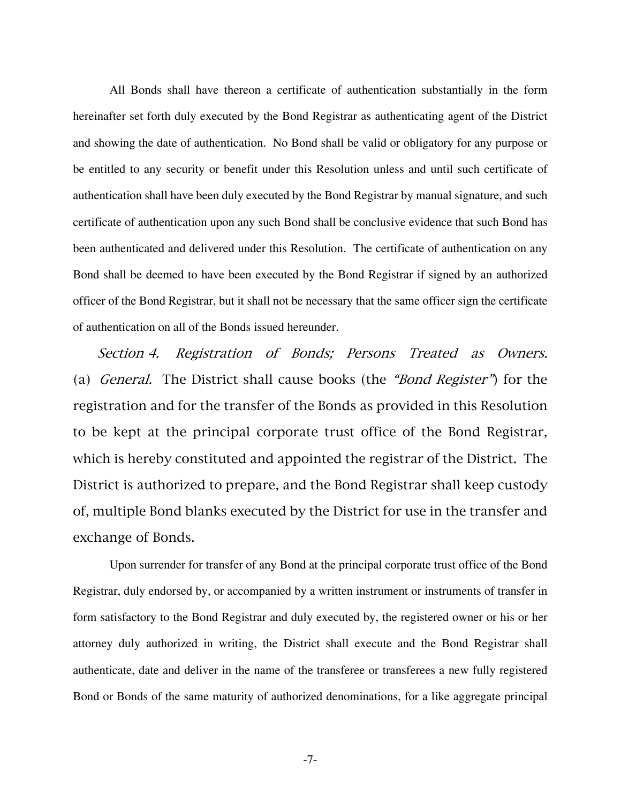All Bonds shall have thereon a certificate of authentication substantially in the form hereinafter set forth duly executed by the Bond Registrar as authenticating agent of the District and showing the date of authentication. No Bond shall be valid or obligatory for any purpose or be entitled to any security or benefit under this Resolution unless and until such certificate of authentication shall have been duly executed by the Bond Registrar by manual signature, and such certificate of authentication upon any such Bond shall be conclusive evidence that such Bond has been authenticated and delivered under this Resolution. The certificate of authentication on any Bond shall be deemed to have been executed by the Bond Registrar if signed by an authorized officer of the Bond Registrar, but it shall not be necessary that the same officer sign the certificate of authentication on all of the Bonds issued hereunder.

Section 4. Registration of Bonds; Persons Treated as Owners. (a) General. The District shall cause books (the "Bond Register") for the registration and for the transfer of the Bonds as provided in this Resolution to be kept at the principal corporate trust office of the Bond Registrar, which is hereby constituted and appointed the registrar of the District. The District is authorized to prepare, and the Bond Registrar shall keep custody of, multiple Bond blanks executed by the District for use in the transfer and exchange of Bonds.

Upon surrender for transfer of any Bond at the principal corporate trust office of the Bond Registrar, duly endorsed by, or accompanied by a written instrument or instruments of transfer in form satisfactory to the Bond Registrar and duly executed by, the registered owner or his or her attorney duly authorized in writing, the District shall execute and the Bond Registrar shall authenticate, date and deliver in the name of the transferee or transferees a new fully registered Bond or Bonds of the same maturity of authorized denominations, for a like aggregate principal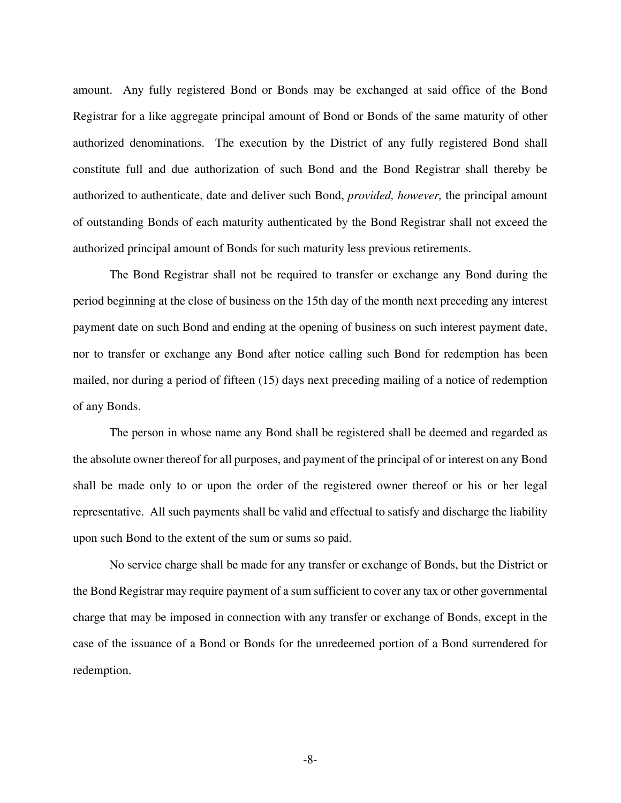amount. Any fully registered Bond or Bonds may be exchanged at said office of the Bond Registrar for a like aggregate principal amount of Bond or Bonds of the same maturity of other authorized denominations. The execution by the District of any fully registered Bond shall constitute full and due authorization of such Bond and the Bond Registrar shall thereby be authorized to authenticate, date and deliver such Bond, *provided, however,* the principal amount of outstanding Bonds of each maturity authenticated by the Bond Registrar shall not exceed the authorized principal amount of Bonds for such maturity less previous retirements.

The Bond Registrar shall not be required to transfer or exchange any Bond during the period beginning at the close of business on the 15th day of the month next preceding any interest payment date on such Bond and ending at the opening of business on such interest payment date, nor to transfer or exchange any Bond after notice calling such Bond for redemption has been mailed, nor during a period of fifteen (15) days next preceding mailing of a notice of redemption of any Bonds.

The person in whose name any Bond shall be registered shall be deemed and regarded as the absolute owner thereof for all purposes, and payment of the principal of or interest on any Bond shall be made only to or upon the order of the registered owner thereof or his or her legal representative. All such payments shall be valid and effectual to satisfy and discharge the liability upon such Bond to the extent of the sum or sums so paid.

No service charge shall be made for any transfer or exchange of Bonds, but the District or the Bond Registrar may require payment of a sum sufficient to cover any tax or other governmental charge that may be imposed in connection with any transfer or exchange of Bonds, except in the case of the issuance of a Bond or Bonds for the unredeemed portion of a Bond surrendered for redemption.

-8-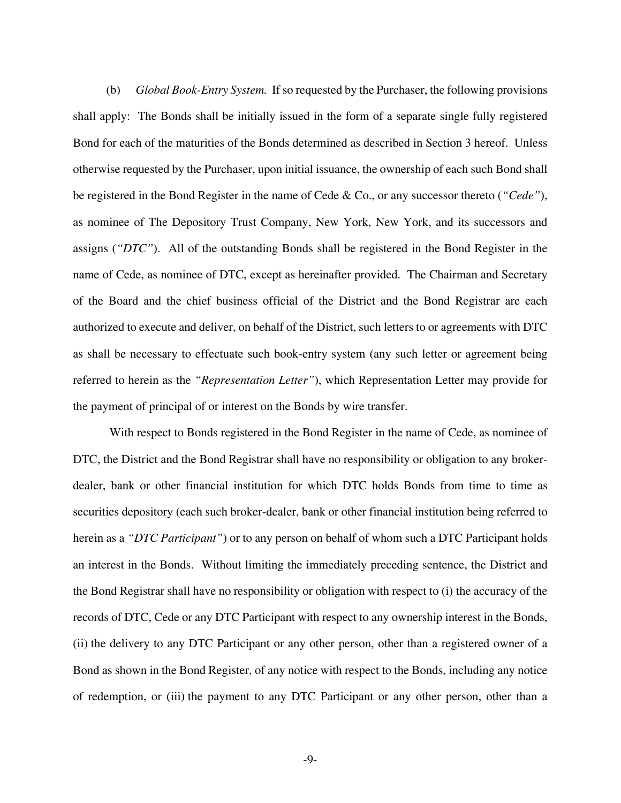(b) *Global Book-Entry System.* If so requested by the Purchaser, the following provisions shall apply: The Bonds shall be initially issued in the form of a separate single fully registered Bond for each of the maturities of the Bonds determined as described in Section 3 hereof. Unless otherwise requested by the Purchaser, upon initial issuance, the ownership of each such Bond shall be registered in the Bond Register in the name of Cede & Co., or any successor thereto (*"Cede"*), as nominee of The Depository Trust Company, New York, New York, and its successors and assigns (*"DTC"*). All of the outstanding Bonds shall be registered in the Bond Register in the name of Cede, as nominee of DTC, except as hereinafter provided. The Chairman and Secretary of the Board and the chief business official of the District and the Bond Registrar are each authorized to execute and deliver, on behalf of the District, such letters to or agreements with DTC as shall be necessary to effectuate such book-entry system (any such letter or agreement being referred to herein as the *"Representation Letter"*), which Representation Letter may provide for the payment of principal of or interest on the Bonds by wire transfer.

With respect to Bonds registered in the Bond Register in the name of Cede, as nominee of DTC, the District and the Bond Registrar shall have no responsibility or obligation to any brokerdealer, bank or other financial institution for which DTC holds Bonds from time to time as securities depository (each such broker-dealer, bank or other financial institution being referred to herein as a *"DTC Participant"*) or to any person on behalf of whom such a DTC Participant holds an interest in the Bonds. Without limiting the immediately preceding sentence, the District and the Bond Registrar shall have no responsibility or obligation with respect to (i) the accuracy of the records of DTC, Cede or any DTC Participant with respect to any ownership interest in the Bonds, (ii) the delivery to any DTC Participant or any other person, other than a registered owner of a Bond as shown in the Bond Register, of any notice with respect to the Bonds, including any notice of redemption, or (iii) the payment to any DTC Participant or any other person, other than a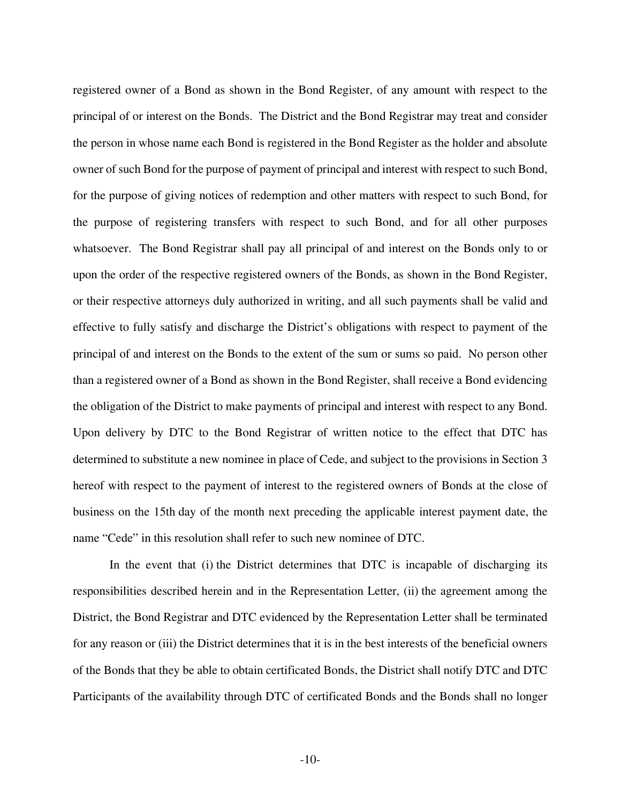registered owner of a Bond as shown in the Bond Register, of any amount with respect to the principal of or interest on the Bonds. The District and the Bond Registrar may treat and consider the person in whose name each Bond is registered in the Bond Register as the holder and absolute owner of such Bond for the purpose of payment of principal and interest with respect to such Bond, for the purpose of giving notices of redemption and other matters with respect to such Bond, for the purpose of registering transfers with respect to such Bond, and for all other purposes whatsoever. The Bond Registrar shall pay all principal of and interest on the Bonds only to or upon the order of the respective registered owners of the Bonds, as shown in the Bond Register, or their respective attorneys duly authorized in writing, and all such payments shall be valid and effective to fully satisfy and discharge the District's obligations with respect to payment of the principal of and interest on the Bonds to the extent of the sum or sums so paid. No person other than a registered owner of a Bond as shown in the Bond Register, shall receive a Bond evidencing the obligation of the District to make payments of principal and interest with respect to any Bond. Upon delivery by DTC to the Bond Registrar of written notice to the effect that DTC has determined to substitute a new nominee in place of Cede, and subject to the provisions in Section 3 hereof with respect to the payment of interest to the registered owners of Bonds at the close of business on the 15th day of the month next preceding the applicable interest payment date, the name "Cede" in this resolution shall refer to such new nominee of DTC.

In the event that (i) the District determines that DTC is incapable of discharging its responsibilities described herein and in the Representation Letter, (ii) the agreement among the District, the Bond Registrar and DTC evidenced by the Representation Letter shall be terminated for any reason or (iii) the District determines that it is in the best interests of the beneficial owners of the Bonds that they be able to obtain certificated Bonds, the District shall notify DTC and DTC Participants of the availability through DTC of certificated Bonds and the Bonds shall no longer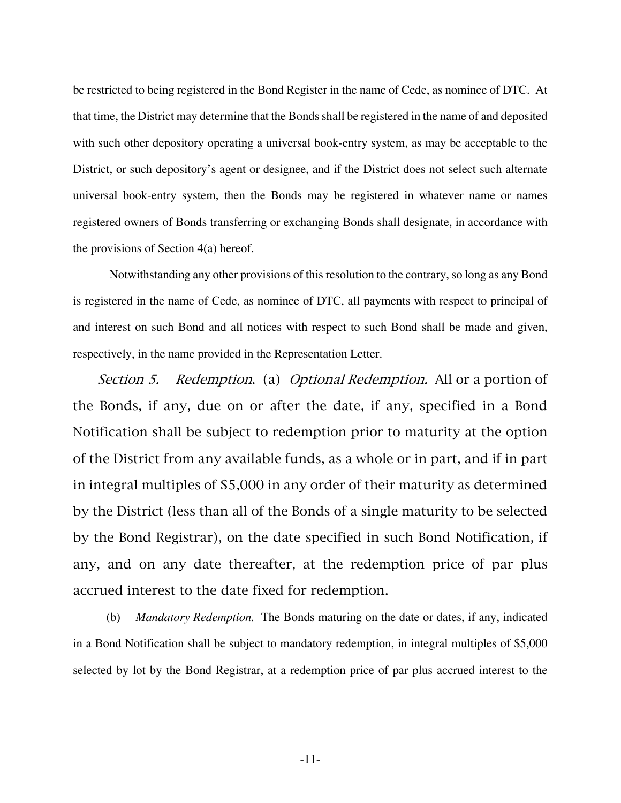be restricted to being registered in the Bond Register in the name of Cede, as nominee of DTC. At that time, the District may determine that the Bonds shall be registered in the name of and deposited with such other depository operating a universal book-entry system, as may be acceptable to the District, or such depository's agent or designee, and if the District does not select such alternate universal book-entry system, then the Bonds may be registered in whatever name or names registered owners of Bonds transferring or exchanging Bonds shall designate, in accordance with the provisions of Section 4(a) hereof.

Notwithstanding any other provisions of this resolution to the contrary, so long as any Bond is registered in the name of Cede, as nominee of DTC, all payments with respect to principal of and interest on such Bond and all notices with respect to such Bond shall be made and given, respectively, in the name provided in the Representation Letter.

Section 5. Redemption. (a) Optional Redemption. All or a portion of the Bonds, if any, due on or after the date, if any, specified in a Bond Notification shall be subject to redemption prior to maturity at the option of the District from any available funds, as a whole or in part, and if in part in integral multiples of \$5,000 in any order of their maturity as determined by the District (less than all of the Bonds of a single maturity to be selected by the Bond Registrar), on the date specified in such Bond Notification, if any, and on any date thereafter, at the redemption price of par plus accrued interest to the date fixed for redemption.

 (b) *Mandatory Redemption.* The Bonds maturing on the date or dates, if any, indicated in a Bond Notification shall be subject to mandatory redemption, in integral multiples of \$5,000 selected by lot by the Bond Registrar, at a redemption price of par plus accrued interest to the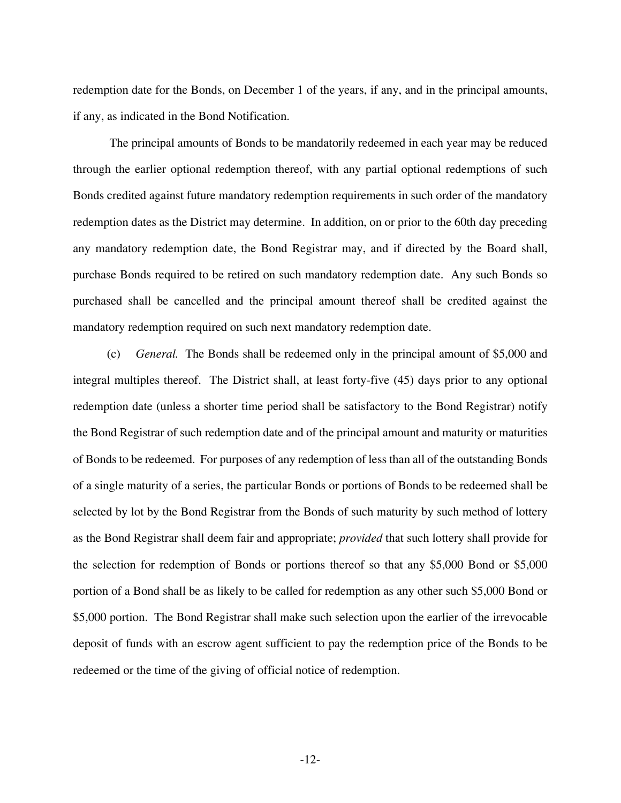redemption date for the Bonds, on December 1 of the years, if any, and in the principal amounts, if any, as indicated in the Bond Notification.

The principal amounts of Bonds to be mandatorily redeemed in each year may be reduced through the earlier optional redemption thereof, with any partial optional redemptions of such Bonds credited against future mandatory redemption requirements in such order of the mandatory redemption dates as the District may determine. In addition, on or prior to the 60th day preceding any mandatory redemption date, the Bond Registrar may, and if directed by the Board shall, purchase Bonds required to be retired on such mandatory redemption date. Any such Bonds so purchased shall be cancelled and the principal amount thereof shall be credited against the mandatory redemption required on such next mandatory redemption date.

 (c) *General.* The Bonds shall be redeemed only in the principal amount of \$5,000 and integral multiples thereof. The District shall, at least forty-five (45) days prior to any optional redemption date (unless a shorter time period shall be satisfactory to the Bond Registrar) notify the Bond Registrar of such redemption date and of the principal amount and maturity or maturities of Bonds to be redeemed. For purposes of any redemption of less than all of the outstanding Bonds of a single maturity of a series, the particular Bonds or portions of Bonds to be redeemed shall be selected by lot by the Bond Registrar from the Bonds of such maturity by such method of lottery as the Bond Registrar shall deem fair and appropriate; *provided* that such lottery shall provide for the selection for redemption of Bonds or portions thereof so that any \$5,000 Bond or \$5,000 portion of a Bond shall be as likely to be called for redemption as any other such \$5,000 Bond or \$5,000 portion. The Bond Registrar shall make such selection upon the earlier of the irrevocable deposit of funds with an escrow agent sufficient to pay the redemption price of the Bonds to be redeemed or the time of the giving of official notice of redemption.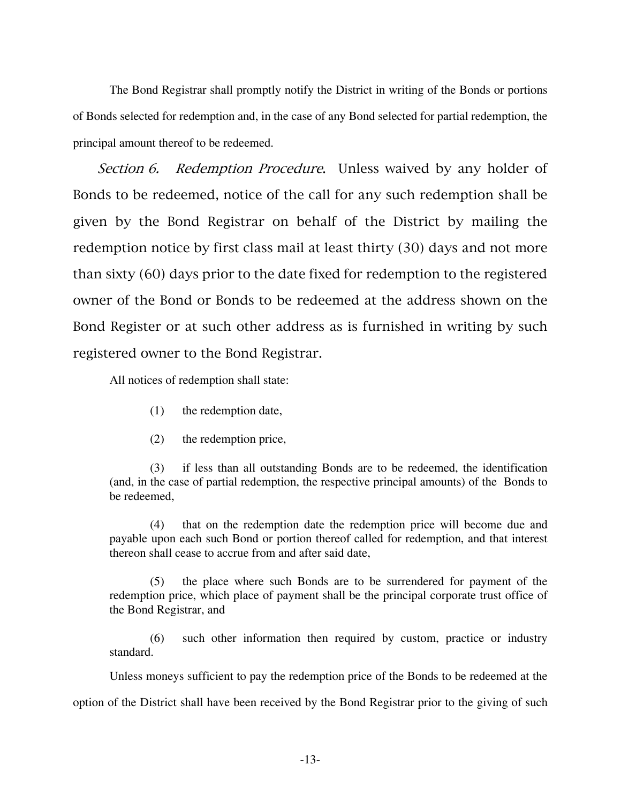The Bond Registrar shall promptly notify the District in writing of the Bonds or portions of Bonds selected for redemption and, in the case of any Bond selected for partial redemption, the principal amount thereof to be redeemed.

Section 6. Redemption Procedure. Unless waived by any holder of Bonds to be redeemed, notice of the call for any such redemption shall be given by the Bond Registrar on behalf of the District by mailing the redemption notice by first class mail at least thirty (30) days and not more than sixty (60) days prior to the date fixed for redemption to the registered owner of the Bond or Bonds to be redeemed at the address shown on the Bond Register or at such other address as is furnished in writing by such registered owner to the Bond Registrar.

All notices of redemption shall state:

- (1) the redemption date,
- (2) the redemption price,

 (3) if less than all outstanding Bonds are to be redeemed, the identification (and, in the case of partial redemption, the respective principal amounts) of the Bonds to be redeemed,

 (4) that on the redemption date the redemption price will become due and payable upon each such Bond or portion thereof called for redemption, and that interest thereon shall cease to accrue from and after said date,

 (5) the place where such Bonds are to be surrendered for payment of the redemption price, which place of payment shall be the principal corporate trust office of the Bond Registrar, and

 (6) such other information then required by custom, practice or industry standard.

Unless moneys sufficient to pay the redemption price of the Bonds to be redeemed at the

option of the District shall have been received by the Bond Registrar prior to the giving of such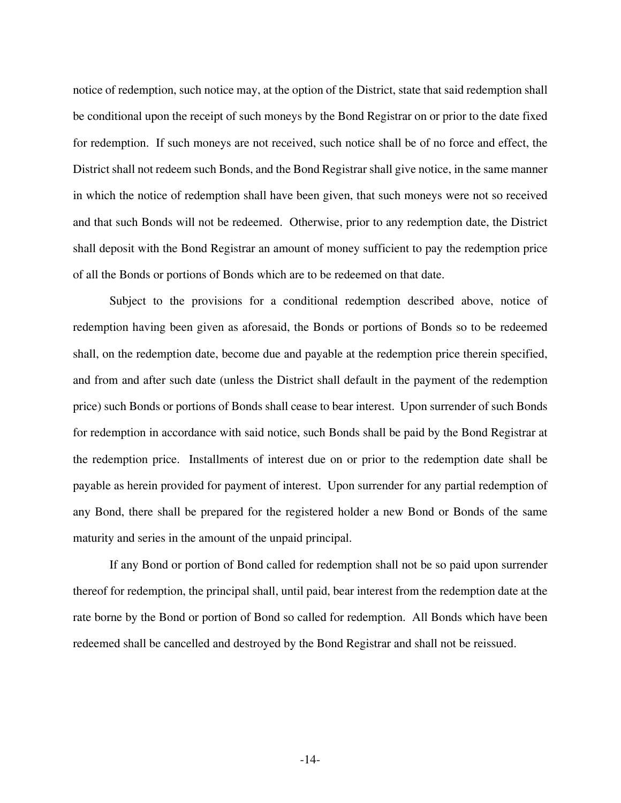notice of redemption, such notice may, at the option of the District, state that said redemption shall be conditional upon the receipt of such moneys by the Bond Registrar on or prior to the date fixed for redemption. If such moneys are not received, such notice shall be of no force and effect, the District shall not redeem such Bonds, and the Bond Registrar shall give notice, in the same manner in which the notice of redemption shall have been given, that such moneys were not so received and that such Bonds will not be redeemed. Otherwise, prior to any redemption date, the District shall deposit with the Bond Registrar an amount of money sufficient to pay the redemption price of all the Bonds or portions of Bonds which are to be redeemed on that date.

Subject to the provisions for a conditional redemption described above, notice of redemption having been given as aforesaid, the Bonds or portions of Bonds so to be redeemed shall, on the redemption date, become due and payable at the redemption price therein specified, and from and after such date (unless the District shall default in the payment of the redemption price) such Bonds or portions of Bonds shall cease to bear interest. Upon surrender of such Bonds for redemption in accordance with said notice, such Bonds shall be paid by the Bond Registrar at the redemption price. Installments of interest due on or prior to the redemption date shall be payable as herein provided for payment of interest. Upon surrender for any partial redemption of any Bond, there shall be prepared for the registered holder a new Bond or Bonds of the same maturity and series in the amount of the unpaid principal.

If any Bond or portion of Bond called for redemption shall not be so paid upon surrender thereof for redemption, the principal shall, until paid, bear interest from the redemption date at the rate borne by the Bond or portion of Bond so called for redemption. All Bonds which have been redeemed shall be cancelled and destroyed by the Bond Registrar and shall not be reissued.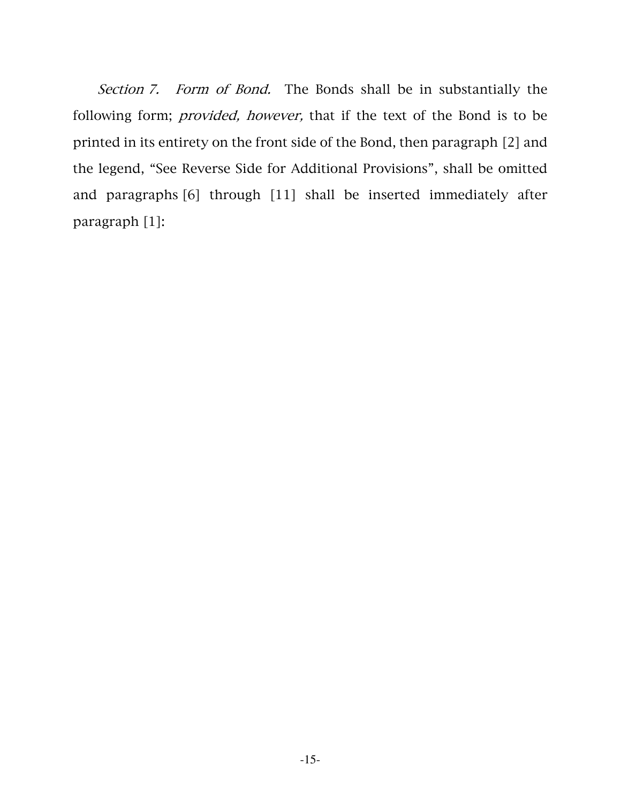Section 7. Form of Bond. The Bonds shall be in substantially the following form; provided, however, that if the text of the Bond is to be printed in its entirety on the front side of the Bond, then paragraph [2] and the legend, "See Reverse Side for Additional Provisions", shall be omitted and paragraphs [6] through [11] shall be inserted immediately after paragraph [1]: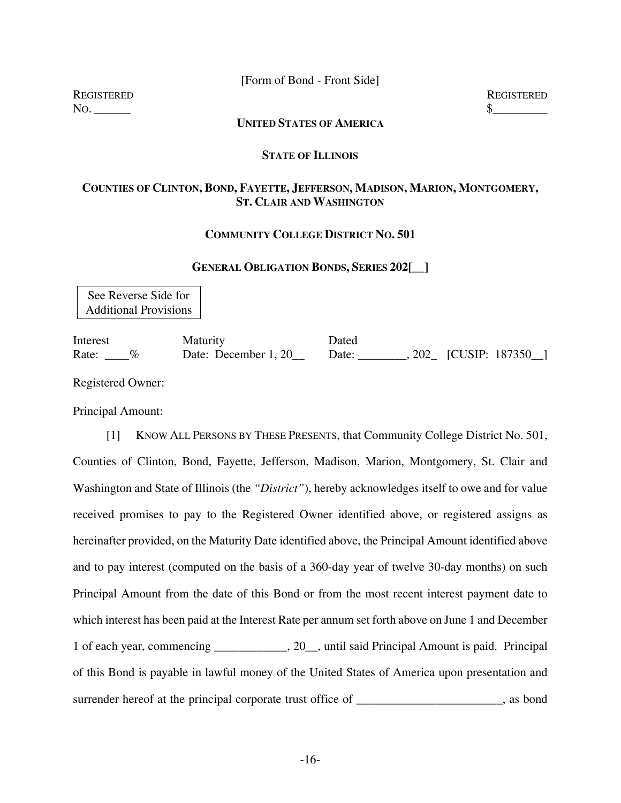[Form of Bond - Front Side]

REGISTERED REGISTERED  $\infty$ .

### **UNITED STATES OF AMERICA**

#### **STATE OF ILLINOIS**

### **COUNTIES OF CLINTON, BOND, FAYETTE, JEFFERSON, MADISON, MARION, MONTGOMERY, ST. CLAIR AND WASHINGTON**

### **COMMUNITY COLLEGE DISTRICT NO. 501**

#### **GENERAL OBLIGATION BONDS, SERIES 202[\_\_]**

See Reverse Side for Additional Provisions

Interest Maturity Dated Rate: \_\_\_\_% Date: December 1, 20\_\_ Date: \_\_\_\_\_\_\_, 202\_ [CUSIP: 187350\_]

Registered Owner:

Principal Amount:

 [1] KNOW ALL PERSONS BY THESE PRESENTS, that Community College District No. 501, Counties of Clinton, Bond, Fayette, Jefferson, Madison, Marion, Montgomery, St. Clair and Washington and State of Illinois (the *"District"*), hereby acknowledges itself to owe and for value received promises to pay to the Registered Owner identified above, or registered assigns as hereinafter provided, on the Maturity Date identified above, the Principal Amount identified above and to pay interest (computed on the basis of a 360-day year of twelve 30-day months) on such Principal Amount from the date of this Bond or from the most recent interest payment date to which interest has been paid at the Interest Rate per annum set forth above on June 1 and December 1 of each year, commencing \_\_\_\_\_\_\_\_\_\_\_\_, 20\_\_, until said Principal Amount is paid. Principal of this Bond is payable in lawful money of the United States of America upon presentation and surrender hereof at the principal corporate trust office of \_\_\_\_\_\_\_\_\_\_\_\_\_\_\_\_, as bond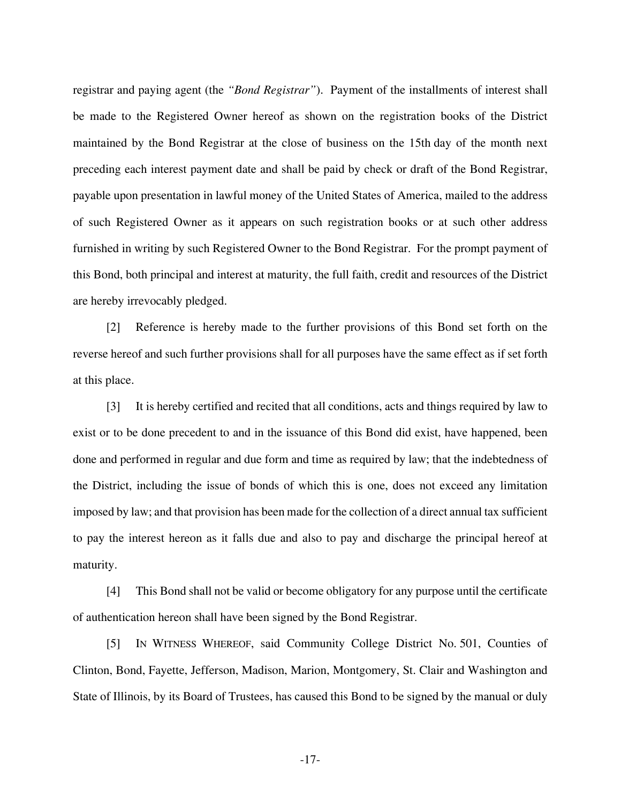registrar and paying agent (the *"Bond Registrar"*). Payment of the installments of interest shall be made to the Registered Owner hereof as shown on the registration books of the District maintained by the Bond Registrar at the close of business on the 15th day of the month next preceding each interest payment date and shall be paid by check or draft of the Bond Registrar, payable upon presentation in lawful money of the United States of America, mailed to the address of such Registered Owner as it appears on such registration books or at such other address furnished in writing by such Registered Owner to the Bond Registrar. For the prompt payment of this Bond, both principal and interest at maturity, the full faith, credit and resources of the District are hereby irrevocably pledged.

 [2] Reference is hereby made to the further provisions of this Bond set forth on the reverse hereof and such further provisions shall for all purposes have the same effect as if set forth at this place.

 [3] It is hereby certified and recited that all conditions, acts and things required by law to exist or to be done precedent to and in the issuance of this Bond did exist, have happened, been done and performed in regular and due form and time as required by law; that the indebtedness of the District, including the issue of bonds of which this is one, does not exceed any limitation imposed by law; and that provision has been made for the collection of a direct annual tax sufficient to pay the interest hereon as it falls due and also to pay and discharge the principal hereof at maturity.

 [4] This Bond shall not be valid or become obligatory for any purpose until the certificate of authentication hereon shall have been signed by the Bond Registrar.

 [5] IN WITNESS WHEREOF, said Community College District No. 501, Counties of Clinton, Bond, Fayette, Jefferson, Madison, Marion, Montgomery, St. Clair and Washington and State of Illinois, by its Board of Trustees, has caused this Bond to be signed by the manual or duly

-17-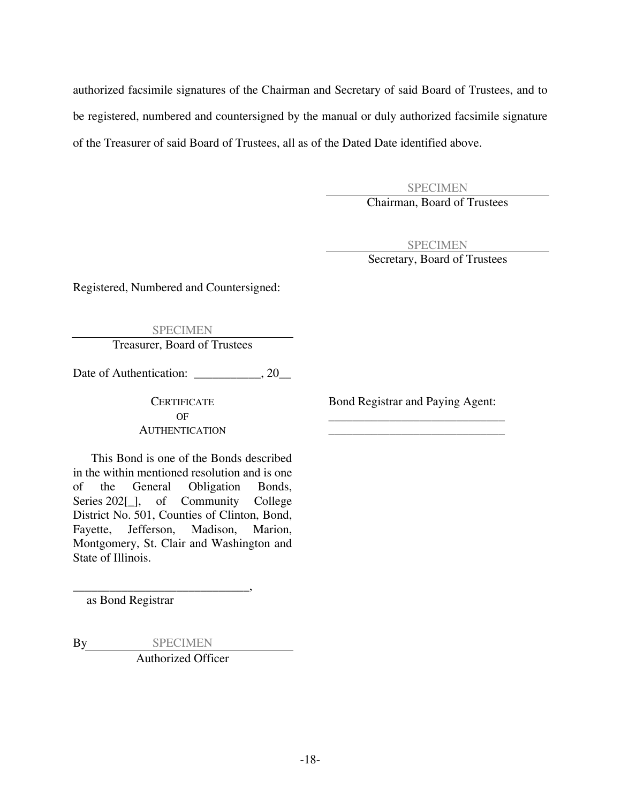authorized facsimile signatures of the Chairman and Secretary of said Board of Trustees, and to be registered, numbered and countersigned by the manual or duly authorized facsimile signature of the Treasurer of said Board of Trustees, all as of the Dated Date identified above.

> SPECIMEN Chairman, Board of Trustees

> > SPECIMEN

Secretary, Board of Trustees

Registered, Numbered and Countersigned:

SPECIMEN Treasurer, Board of Trustees

Date of Authentication: \_\_\_\_\_\_\_\_\_\_, 20\_\_

OF \_\_\_\_\_\_\_\_\_\_\_\_\_\_\_\_\_\_\_\_\_\_\_\_\_\_\_\_\_ AUTHENTICATION

This Bond is one of the Bonds described in the within mentioned resolution and is one of the General Obligation Bonds, Series 202[], of Community College District No. 501, Counties of Clinton, Bond, Fayette, Jefferson, Madison, Marion, Montgomery, St. Clair and Washington and State of Illinois.

as Bond Registrar

By SPECIMEN Authorized Officer

\_\_\_\_\_\_\_\_\_\_\_\_\_\_\_\_\_\_\_\_\_\_\_\_\_\_\_\_\_,

CERTIFICATE Bond Registrar and Paying Agent: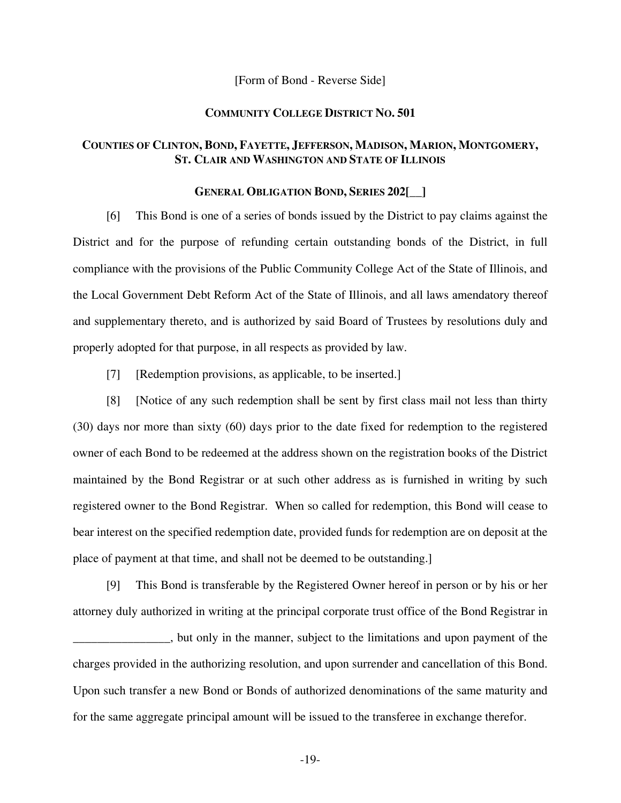#### [Form of Bond - Reverse Side]

#### **COMMUNITY COLLEGE DISTRICT NO. 501**

### **COUNTIES OF CLINTON, BOND, FAYETTE, JEFFERSON, MADISON, MARION, MONTGOMERY, ST. CLAIR AND WASHINGTON AND STATE OF ILLINOIS**

#### **GENERAL OBLIGATION BOND, SERIES 202[\_\_]**

 [6] This Bond is one of a series of bonds issued by the District to pay claims against the District and for the purpose of refunding certain outstanding bonds of the District, in full compliance with the provisions of the Public Community College Act of the State of Illinois, and the Local Government Debt Reform Act of the State of Illinois, and all laws amendatory thereof and supplementary thereto, and is authorized by said Board of Trustees by resolutions duly and properly adopted for that purpose, in all respects as provided by law.

[7] [Redemption provisions, as applicable, to be inserted.]

 [8] [Notice of any such redemption shall be sent by first class mail not less than thirty (30) days nor more than sixty (60) days prior to the date fixed for redemption to the registered owner of each Bond to be redeemed at the address shown on the registration books of the District maintained by the Bond Registrar or at such other address as is furnished in writing by such registered owner to the Bond Registrar. When so called for redemption, this Bond will cease to bear interest on the specified redemption date, provided funds for redemption are on deposit at the place of payment at that time, and shall not be deemed to be outstanding.]

 [9] This Bond is transferable by the Registered Owner hereof in person or by his or her attorney duly authorized in writing at the principal corporate trust office of the Bond Registrar in \_\_\_\_\_\_\_\_\_\_\_\_\_\_\_\_, but only in the manner, subject to the limitations and upon payment of the charges provided in the authorizing resolution, and upon surrender and cancellation of this Bond. Upon such transfer a new Bond or Bonds of authorized denominations of the same maturity and for the same aggregate principal amount will be issued to the transferee in exchange therefor.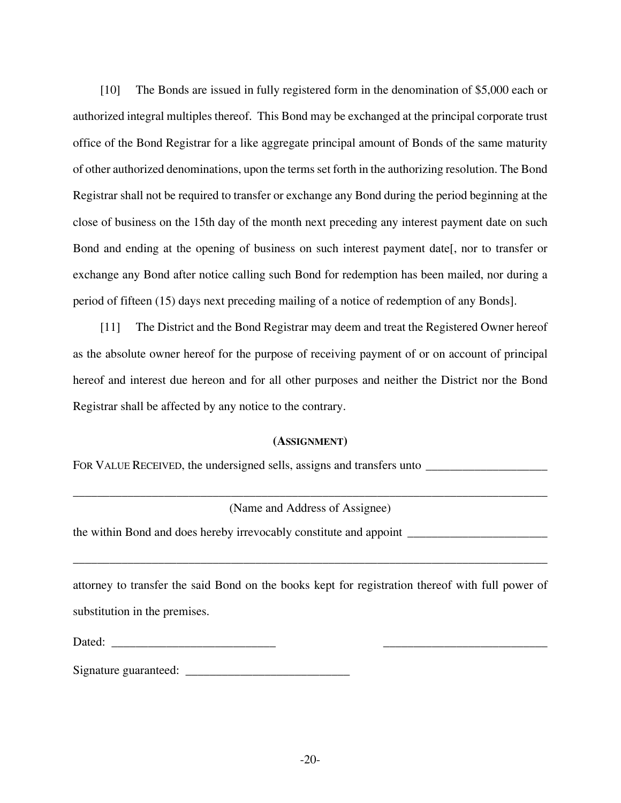[10] The Bonds are issued in fully registered form in the denomination of \$5,000 each or authorized integral multiples thereof. This Bond may be exchanged at the principal corporate trust office of the Bond Registrar for a like aggregate principal amount of Bonds of the same maturity of other authorized denominations, upon the terms set forth in the authorizing resolution. The Bond Registrar shall not be required to transfer or exchange any Bond during the period beginning at the close of business on the 15th day of the month next preceding any interest payment date on such Bond and ending at the opening of business on such interest payment date[, nor to transfer or exchange any Bond after notice calling such Bond for redemption has been mailed, nor during a period of fifteen (15) days next preceding mailing of a notice of redemption of any Bonds].

 [11] The District and the Bond Registrar may deem and treat the Registered Owner hereof as the absolute owner hereof for the purpose of receiving payment of or on account of principal hereof and interest due hereon and for all other purposes and neither the District nor the Bond Registrar shall be affected by any notice to the contrary.

### **(ASSIGNMENT)**

FOR VALUE RECEIVED, the undersigned sells, assigns and transfers unto \_\_\_\_\_\_\_\_\_\_\_\_\_\_\_\_\_\_\_\_

\_\_\_\_\_\_\_\_\_\_\_\_\_\_\_\_\_\_\_\_\_\_\_\_\_\_\_\_\_\_\_\_\_\_\_\_\_\_\_\_\_\_\_\_\_\_\_\_\_\_\_\_\_\_\_\_\_\_\_\_\_\_\_\_\_\_\_\_\_\_\_\_\_\_\_\_\_\_ (Name and Address of Assignee)

the within Bond and does hereby irrevocably constitute and appoint \_\_\_\_\_\_\_\_\_\_\_\_\_\_\_\_\_\_\_\_\_\_\_

attorney to transfer the said Bond on the books kept for registration thereof with full power of substitution in the premises.

\_\_\_\_\_\_\_\_\_\_\_\_\_\_\_\_\_\_\_\_\_\_\_\_\_\_\_\_\_\_\_\_\_\_\_\_\_\_\_\_\_\_\_\_\_\_\_\_\_\_\_\_\_\_\_\_\_\_\_\_\_\_\_\_\_\_\_\_\_\_\_\_\_\_\_\_\_\_

| $\overline{\phantom{a}}$<br>$\lambda$<br>Dawa. |  |
|------------------------------------------------|--|
|                                                |  |

Signature guaranteed: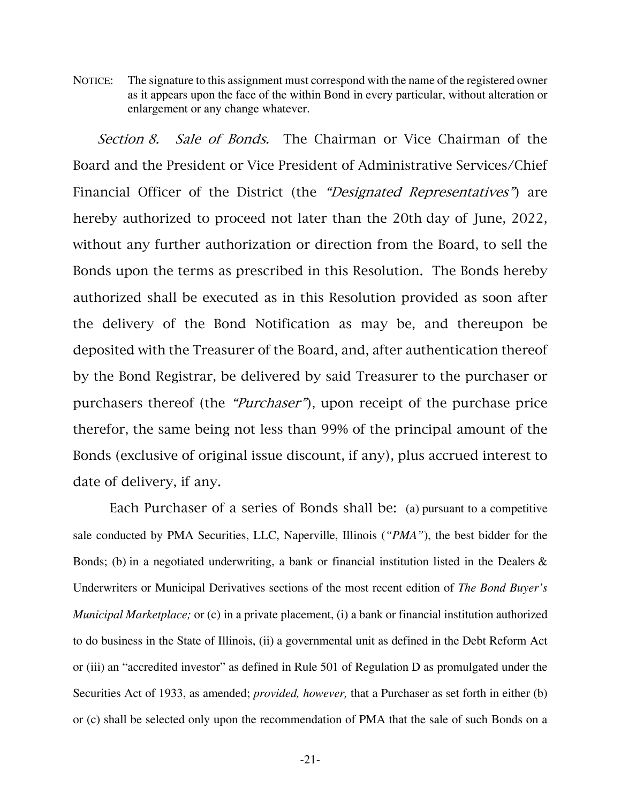NOTICE: The signature to this assignment must correspond with the name of the registered owner as it appears upon the face of the within Bond in every particular, without alteration or enlargement or any change whatever.

Section 8. Sale of Bonds. The Chairman or Vice Chairman of the Board and the President or Vice President of Administrative Services/Chief Financial Officer of the District (the *"Designated Representatives"*) are hereby authorized to proceed not later than the 20th day of June, 2022, without any further authorization or direction from the Board, to sell the Bonds upon the terms as prescribed in this Resolution. The Bonds hereby authorized shall be executed as in this Resolution provided as soon after the delivery of the Bond Notification as may be, and thereupon be deposited with the Treasurer of the Board, and, after authentication thereof by the Bond Registrar, be delivered by said Treasurer to the purchaser or purchasers thereof (the "Purchaser"), upon receipt of the purchase price therefor, the same being not less than 99% of the principal amount of the Bonds (exclusive of original issue discount, if any), plus accrued interest to date of delivery, if any.

 Each Purchaser of a series of Bonds shall be: (a) pursuant to a competitive sale conducted by PMA Securities, LLC, Naperville, Illinois (*"PMA"*), the best bidder for the Bonds; (b) in a negotiated underwriting, a bank or financial institution listed in the Dealers  $\&$ Underwriters or Municipal Derivatives sections of the most recent edition of *The Bond Buyer's Municipal Marketplace;* or (c) in a private placement, (i) a bank or financial institution authorized to do business in the State of Illinois, (ii) a governmental unit as defined in the Debt Reform Act or (iii) an "accredited investor" as defined in Rule 501 of Regulation D as promulgated under the Securities Act of 1933, as amended; *provided, however,* that a Purchaser as set forth in either (b) or (c) shall be selected only upon the recommendation of PMA that the sale of such Bonds on a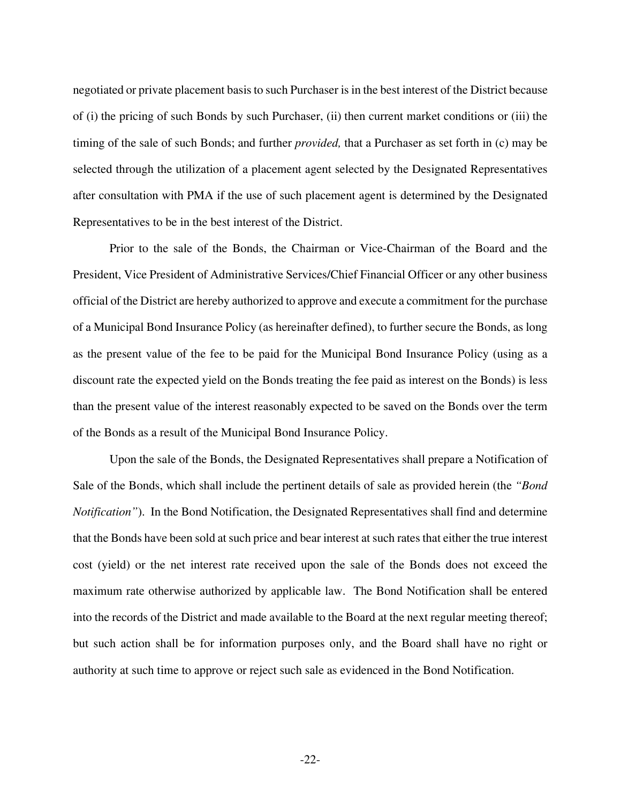negotiated or private placement basis to such Purchaser is in the best interest of the District because of (i) the pricing of such Bonds by such Purchaser, (ii) then current market conditions or (iii) the timing of the sale of such Bonds; and further *provided,* that a Purchaser as set forth in (c) may be selected through the utilization of a placement agent selected by the Designated Representatives after consultation with PMA if the use of such placement agent is determined by the Designated Representatives to be in the best interest of the District.

Prior to the sale of the Bonds, the Chairman or Vice-Chairman of the Board and the President, Vice President of Administrative Services/Chief Financial Officer or any other business official of the District are hereby authorized to approve and execute a commitment for the purchase of a Municipal Bond Insurance Policy (as hereinafter defined), to further secure the Bonds, as long as the present value of the fee to be paid for the Municipal Bond Insurance Policy (using as a discount rate the expected yield on the Bonds treating the fee paid as interest on the Bonds) is less than the present value of the interest reasonably expected to be saved on the Bonds over the term of the Bonds as a result of the Municipal Bond Insurance Policy.

Upon the sale of the Bonds, the Designated Representatives shall prepare a Notification of Sale of the Bonds, which shall include the pertinent details of sale as provided herein (the *"Bond Notification"*). In the Bond Notification, the Designated Representatives shall find and determine that the Bonds have been sold at such price and bear interest at such rates that either the true interest cost (yield) or the net interest rate received upon the sale of the Bonds does not exceed the maximum rate otherwise authorized by applicable law. The Bond Notification shall be entered into the records of the District and made available to the Board at the next regular meeting thereof; but such action shall be for information purposes only, and the Board shall have no right or authority at such time to approve or reject such sale as evidenced in the Bond Notification.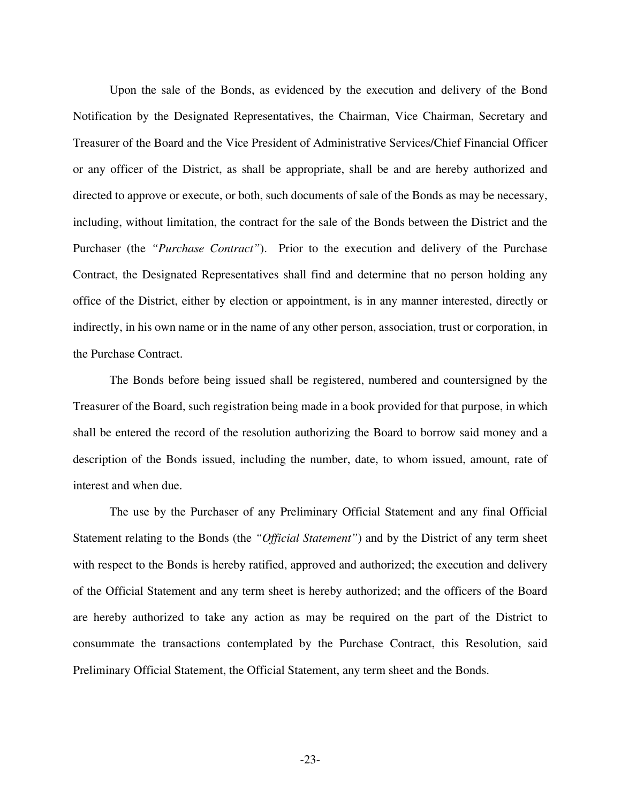Upon the sale of the Bonds, as evidenced by the execution and delivery of the Bond Notification by the Designated Representatives, the Chairman, Vice Chairman, Secretary and Treasurer of the Board and the Vice President of Administrative Services/Chief Financial Officer or any officer of the District, as shall be appropriate, shall be and are hereby authorized and directed to approve or execute, or both, such documents of sale of the Bonds as may be necessary, including, without limitation, the contract for the sale of the Bonds between the District and the Purchaser (the *"Purchase Contract"*). Prior to the execution and delivery of the Purchase Contract, the Designated Representatives shall find and determine that no person holding any office of the District, either by election or appointment, is in any manner interested, directly or indirectly, in his own name or in the name of any other person, association, trust or corporation, in the Purchase Contract.

The Bonds before being issued shall be registered, numbered and countersigned by the Treasurer of the Board, such registration being made in a book provided for that purpose, in which shall be entered the record of the resolution authorizing the Board to borrow said money and a description of the Bonds issued, including the number, date, to whom issued, amount, rate of interest and when due.

The use by the Purchaser of any Preliminary Official Statement and any final Official Statement relating to the Bonds (the *"Official Statement"*) and by the District of any term sheet with respect to the Bonds is hereby ratified, approved and authorized; the execution and delivery of the Official Statement and any term sheet is hereby authorized; and the officers of the Board are hereby authorized to take any action as may be required on the part of the District to consummate the transactions contemplated by the Purchase Contract, this Resolution, said Preliminary Official Statement, the Official Statement, any term sheet and the Bonds.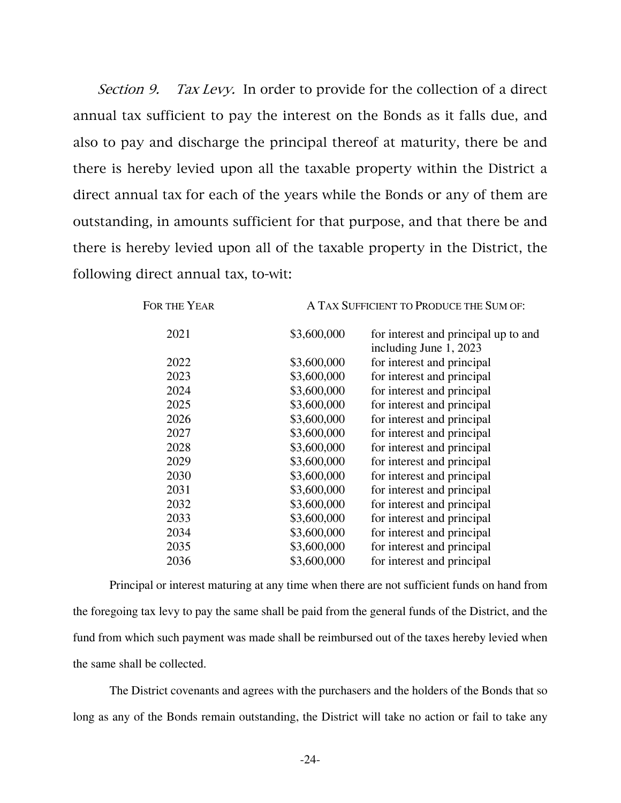Section 9. Tax Levy. In order to provide for the collection of a direct annual tax sufficient to pay the interest on the Bonds as it falls due, and also to pay and discharge the principal thereof at maturity, there be and there is hereby levied upon all the taxable property within the District a direct annual tax for each of the years while the Bonds or any of them are outstanding, in amounts sufficient for that purpose, and that there be and there is hereby levied upon all of the taxable property in the District, the following direct annual tax, to-wit:

| FOR THE YEAR | A TAX SUFFICIENT TO PRODUCE THE SUM OF: |                                                                |  |
|--------------|-----------------------------------------|----------------------------------------------------------------|--|
| 2021         | \$3,600,000                             | for interest and principal up to and<br>including June 1, 2023 |  |
| 2022         | \$3,600,000                             | for interest and principal                                     |  |
| 2023         | \$3,600,000                             | for interest and principal                                     |  |
| 2024         | \$3,600,000                             | for interest and principal                                     |  |
| 2025         | \$3,600,000                             | for interest and principal                                     |  |
| 2026         | \$3,600,000                             | for interest and principal                                     |  |
| 2027         | \$3,600,000                             | for interest and principal                                     |  |
| 2028         | \$3,600,000                             | for interest and principal                                     |  |
| 2029         | \$3,600,000                             | for interest and principal                                     |  |
| 2030         | \$3,600,000                             | for interest and principal                                     |  |
| 2031         | \$3,600,000                             | for interest and principal                                     |  |
| 2032         | \$3,600,000                             | for interest and principal                                     |  |
| 2033         | \$3,600,000                             | for interest and principal                                     |  |
| 2034         | \$3,600,000                             | for interest and principal                                     |  |
| 2035         | \$3,600,000                             | for interest and principal                                     |  |
| 2036         | \$3,600,000                             | for interest and principal                                     |  |
|              |                                         |                                                                |  |

Principal or interest maturing at any time when there are not sufficient funds on hand from the foregoing tax levy to pay the same shall be paid from the general funds of the District, and the fund from which such payment was made shall be reimbursed out of the taxes hereby levied when the same shall be collected.

The District covenants and agrees with the purchasers and the holders of the Bonds that so long as any of the Bonds remain outstanding, the District will take no action or fail to take any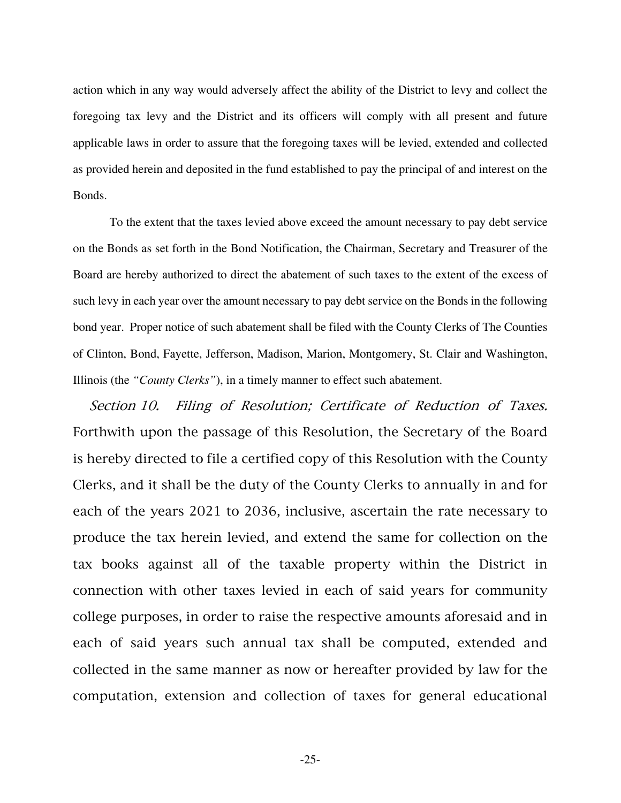action which in any way would adversely affect the ability of the District to levy and collect the foregoing tax levy and the District and its officers will comply with all present and future applicable laws in order to assure that the foregoing taxes will be levied, extended and collected as provided herein and deposited in the fund established to pay the principal of and interest on the Bonds.

To the extent that the taxes levied above exceed the amount necessary to pay debt service on the Bonds as set forth in the Bond Notification, the Chairman, Secretary and Treasurer of the Board are hereby authorized to direct the abatement of such taxes to the extent of the excess of such levy in each year over the amount necessary to pay debt service on the Bonds in the following bond year. Proper notice of such abatement shall be filed with the County Clerks of The Counties of Clinton, Bond, Fayette, Jefferson, Madison, Marion, Montgomery, St. Clair and Washington, Illinois (the *"County Clerks"*), in a timely manner to effect such abatement.

Section 10. Filing of Resolution; Certificate of Reduction of Taxes. Forthwith upon the passage of this Resolution, the Secretary of the Board is hereby directed to file a certified copy of this Resolution with the County Clerks, and it shall be the duty of the County Clerks to annually in and for each of the years 2021 to 2036, inclusive, ascertain the rate necessary to produce the tax herein levied, and extend the same for collection on the tax books against all of the taxable property within the District in connection with other taxes levied in each of said years for community college purposes, in order to raise the respective amounts aforesaid and in each of said years such annual tax shall be computed, extended and collected in the same manner as now or hereafter provided by law for the computation, extension and collection of taxes for general educational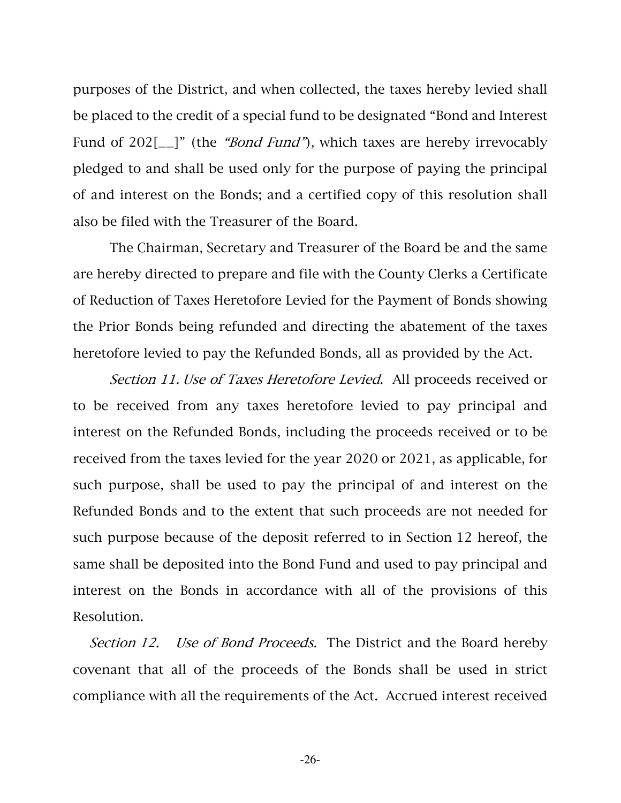purposes of the District, and when collected, the taxes hereby levied shall be placed to the credit of a special fund to be designated "Bond and Interest Fund of 202[\_\_]" (the "*Bond Fund*"), which taxes are hereby irrevocably pledged to and shall be used only for the purpose of paying the principal of and interest on the Bonds; and a certified copy of this resolution shall also be filed with the Treasurer of the Board.

 The Chairman, Secretary and Treasurer of the Board be and the same are hereby directed to prepare and file with the County Clerks a Certificate of Reduction of Taxes Heretofore Levied for the Payment of Bonds showing the Prior Bonds being refunded and directing the abatement of the taxes heretofore levied to pay the Refunded Bonds, all as provided by the Act.

Section 11. Use of Taxes Heretofore Levied. All proceeds received or to be received from any taxes heretofore levied to pay principal and interest on the Refunded Bonds, including the proceeds received or to be received from the taxes levied for the year 2020 or 2021, as applicable, for such purpose, shall be used to pay the principal of and interest on the Refunded Bonds and to the extent that such proceeds are not needed for such purpose because of the deposit referred to in Section 12 hereof, the same shall be deposited into the Bond Fund and used to pay principal and interest on the Bonds in accordance with all of the provisions of this Resolution.

Section 12. Use of Bond Proceeds. The District and the Board hereby covenant that all of the proceeds of the Bonds shall be used in strict compliance with all the requirements of the Act. Accrued interest received

-26-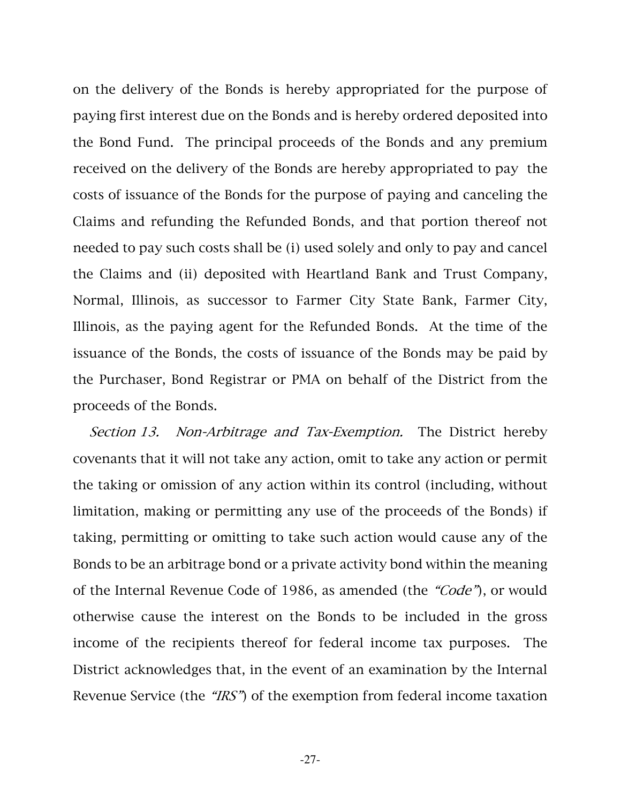on the delivery of the Bonds is hereby appropriated for the purpose of paying first interest due on the Bonds and is hereby ordered deposited into the Bond Fund. The principal proceeds of the Bonds and any premium received on the delivery of the Bonds are hereby appropriated to pay the costs of issuance of the Bonds for the purpose of paying and canceling the Claims and refunding the Refunded Bonds, and that portion thereof not needed to pay such costs shall be (i) used solely and only to pay and cancel the Claims and (ii) deposited with Heartland Bank and Trust Company, Normal, Illinois, as successor to Farmer City State Bank, Farmer City, Illinois, as the paying agent for the Refunded Bonds. At the time of the issuance of the Bonds, the costs of issuance of the Bonds may be paid by the Purchaser, Bond Registrar or PMA on behalf of the District from the proceeds of the Bonds.

Section 13. Non-Arbitrage and Tax-Exemption. The District hereby covenants that it will not take any action, omit to take any action or permit the taking or omission of any action within its control (including, without limitation, making or permitting any use of the proceeds of the Bonds) if taking, permitting or omitting to take such action would cause any of the Bonds to be an arbitrage bond or a private activity bond within the meaning of the Internal Revenue Code of 1986, as amended (the "Code"), or would otherwise cause the interest on the Bonds to be included in the gross income of the recipients thereof for federal income tax purposes. The District acknowledges that, in the event of an examination by the Internal Revenue Service (the "IRS") of the exemption from federal income taxation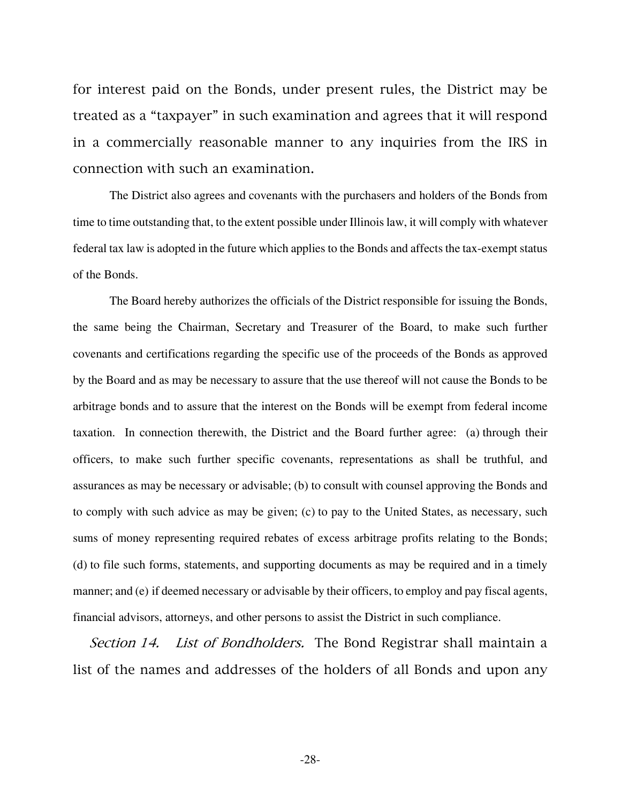for interest paid on the Bonds, under present rules, the District may be treated as a "taxpayer" in such examination and agrees that it will respond in a commercially reasonable manner to any inquiries from the IRS in connection with such an examination.

The District also agrees and covenants with the purchasers and holders of the Bonds from time to time outstanding that, to the extent possible under Illinois law, it will comply with whatever federal tax law is adopted in the future which applies to the Bonds and affects the tax-exempt status of the Bonds.

The Board hereby authorizes the officials of the District responsible for issuing the Bonds, the same being the Chairman, Secretary and Treasurer of the Board, to make such further covenants and certifications regarding the specific use of the proceeds of the Bonds as approved by the Board and as may be necessary to assure that the use thereof will not cause the Bonds to be arbitrage bonds and to assure that the interest on the Bonds will be exempt from federal income taxation. In connection therewith, the District and the Board further agree: (a) through their officers, to make such further specific covenants, representations as shall be truthful, and assurances as may be necessary or advisable; (b) to consult with counsel approving the Bonds and to comply with such advice as may be given; (c) to pay to the United States, as necessary, such sums of money representing required rebates of excess arbitrage profits relating to the Bonds; (d) to file such forms, statements, and supporting documents as may be required and in a timely manner; and (e) if deemed necessary or advisable by their officers, to employ and pay fiscal agents, financial advisors, attorneys, and other persons to assist the District in such compliance.

Section 14. List of Bondholders. The Bond Registrar shall maintain a list of the names and addresses of the holders of all Bonds and upon any

-28-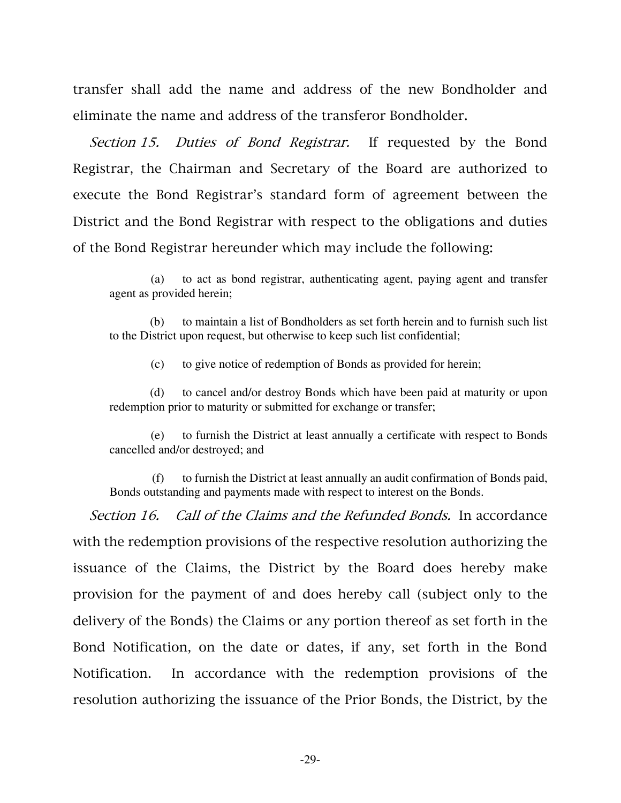transfer shall add the name and address of the new Bondholder and eliminate the name and address of the transferor Bondholder.

Section 15. Duties of Bond Registrar. If requested by the Bond Registrar, the Chairman and Secretary of the Board are authorized to execute the Bond Registrar's standard form of agreement between the District and the Bond Registrar with respect to the obligations and duties of the Bond Registrar hereunder which may include the following:

 (a) to act as bond registrar, authenticating agent, paying agent and transfer agent as provided herein;

 (b) to maintain a list of Bondholders as set forth herein and to furnish such list to the District upon request, but otherwise to keep such list confidential;

(c) to give notice of redemption of Bonds as provided for herein;

 (d) to cancel and/or destroy Bonds which have been paid at maturity or upon redemption prior to maturity or submitted for exchange or transfer;

 (e) to furnish the District at least annually a certificate with respect to Bonds cancelled and/or destroyed; and

 (f) to furnish the District at least annually an audit confirmation of Bonds paid, Bonds outstanding and payments made with respect to interest on the Bonds.

Section 16. Call of the Claims and the Refunded Bonds. In accordance with the redemption provisions of the respective resolution authorizing the issuance of the Claims, the District by the Board does hereby make provision for the payment of and does hereby call (subject only to the delivery of the Bonds) the Claims or any portion thereof as set forth in the Bond Notification, on the date or dates, if any, set forth in the Bond Notification. In accordance with the redemption provisions of the resolution authorizing the issuance of the Prior Bonds, the District, by the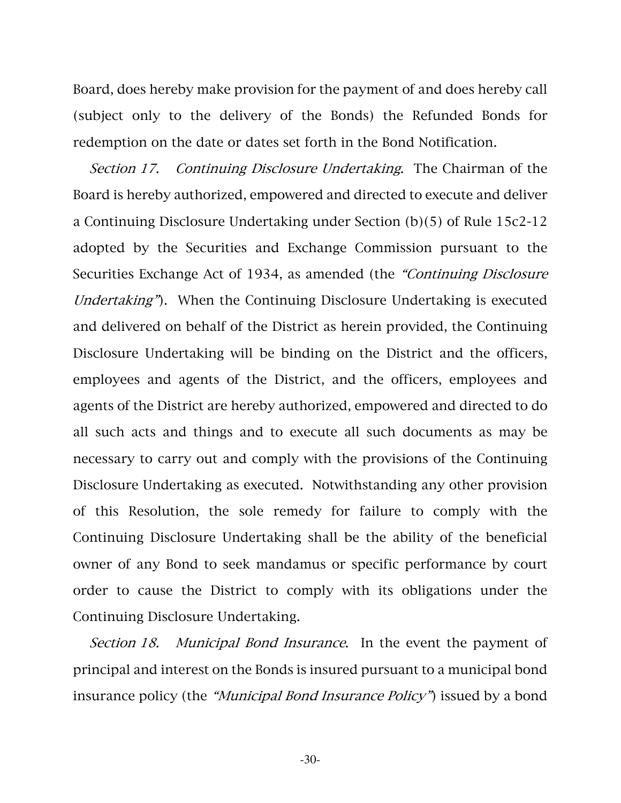Board, does hereby make provision for the payment of and does hereby call (subject only to the delivery of the Bonds) the Refunded Bonds for redemption on the date or dates set forth in the Bond Notification.

Section 17. Continuing Disclosure Undertaking. The Chairman of the Board is hereby authorized, empowered and directed to execute and deliver a Continuing Disclosure Undertaking under Section (b)(5) of Rule 15c2-12 adopted by the Securities and Exchange Commission pursuant to the Securities Exchange Act of 1934, as amended (the "Continuing Disclosure Undertaking"). When the Continuing Disclosure Undertaking is executed and delivered on behalf of the District as herein provided, the Continuing Disclosure Undertaking will be binding on the District and the officers, employees and agents of the District, and the officers, employees and agents of the District are hereby authorized, empowered and directed to do all such acts and things and to execute all such documents as may be necessary to carry out and comply with the provisions of the Continuing Disclosure Undertaking as executed. Notwithstanding any other provision of this Resolution, the sole remedy for failure to comply with the Continuing Disclosure Undertaking shall be the ability of the beneficial owner of any Bond to seek mandamus or specific performance by court order to cause the District to comply with its obligations under the Continuing Disclosure Undertaking.

Section 18. Municipal Bond Insurance. In the event the payment of principal and interest on the Bonds is insured pursuant to a municipal bond insurance policy (the "Municipal Bond Insurance Policy") issued by a bond

-30-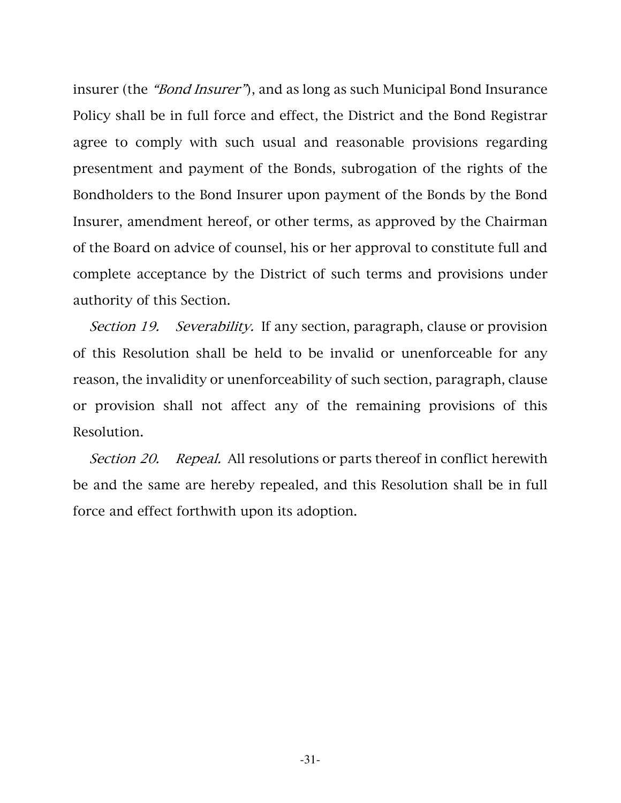insurer (the "Bond Insurer"), and as long as such Municipal Bond Insurance Policy shall be in full force and effect, the District and the Bond Registrar agree to comply with such usual and reasonable provisions regarding presentment and payment of the Bonds, subrogation of the rights of the Bondholders to the Bond Insurer upon payment of the Bonds by the Bond Insurer, amendment hereof, or other terms, as approved by the Chairman of the Board on advice of counsel, his or her approval to constitute full and complete acceptance by the District of such terms and provisions under authority of this Section.

Section 19. Severability. If any section, paragraph, clause or provision of this Resolution shall be held to be invalid or unenforceable for any reason, the invalidity or unenforceability of such section, paragraph, clause or provision shall not affect any of the remaining provisions of this Resolution.

Section 20. Repeal. All resolutions or parts thereof in conflict herewith be and the same are hereby repealed, and this Resolution shall be in full force and effect forthwith upon its adoption.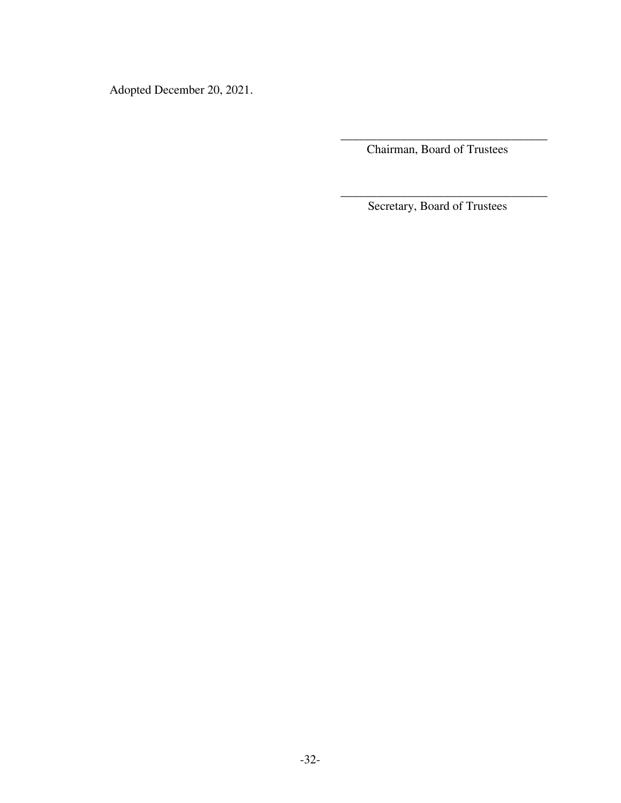Adopted December 20, 2021.

 $\overline{\phantom{a}}$  ,  $\overline{\phantom{a}}$  ,  $\overline{\phantom{a}}$  ,  $\overline{\phantom{a}}$  ,  $\overline{\phantom{a}}$  ,  $\overline{\phantom{a}}$  ,  $\overline{\phantom{a}}$  ,  $\overline{\phantom{a}}$  ,  $\overline{\phantom{a}}$  ,  $\overline{\phantom{a}}$  ,  $\overline{\phantom{a}}$  ,  $\overline{\phantom{a}}$  ,  $\overline{\phantom{a}}$  ,  $\overline{\phantom{a}}$  ,  $\overline{\phantom{a}}$  ,  $\overline{\phantom{a}}$ Chairman, Board of Trustees

 $\overline{\phantom{a}}$  ,  $\overline{\phantom{a}}$  ,  $\overline{\phantom{a}}$  ,  $\overline{\phantom{a}}$  ,  $\overline{\phantom{a}}$  ,  $\overline{\phantom{a}}$  ,  $\overline{\phantom{a}}$  ,  $\overline{\phantom{a}}$  ,  $\overline{\phantom{a}}$  ,  $\overline{\phantom{a}}$  ,  $\overline{\phantom{a}}$  ,  $\overline{\phantom{a}}$  ,  $\overline{\phantom{a}}$  ,  $\overline{\phantom{a}}$  ,  $\overline{\phantom{a}}$  ,  $\overline{\phantom{a}}$ Secretary, Board of Trustees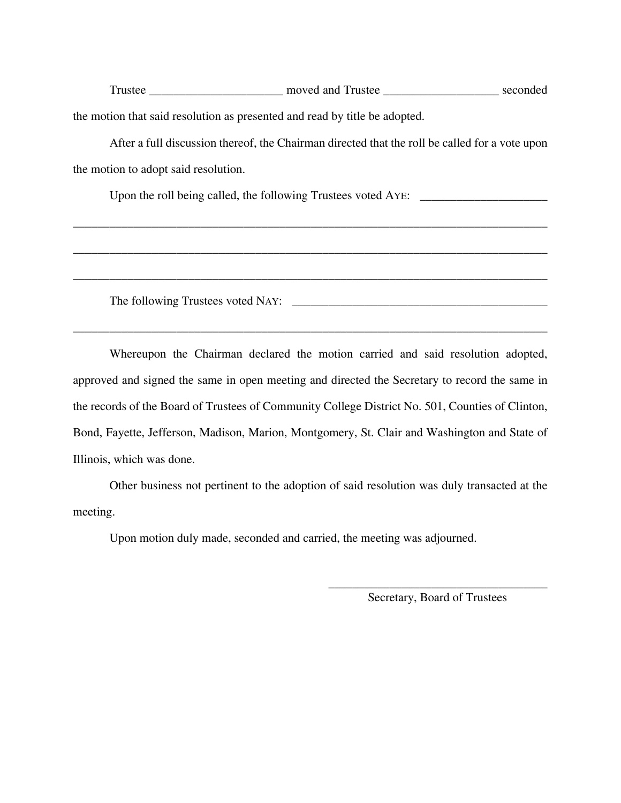Trustee \_\_\_\_\_\_\_\_\_\_\_\_\_\_\_\_\_\_\_\_\_ moved and Trustee \_\_\_\_\_\_\_\_\_\_\_\_\_\_\_\_\_\_\_\_\_\_\_ seconded the motion that said resolution as presented and read by title be adopted.

After a full discussion thereof, the Chairman directed that the roll be called for a vote upon the motion to adopt said resolution.

\_\_\_\_\_\_\_\_\_\_\_\_\_\_\_\_\_\_\_\_\_\_\_\_\_\_\_\_\_\_\_\_\_\_\_\_\_\_\_\_\_\_\_\_\_\_\_\_\_\_\_\_\_\_\_\_\_\_\_\_\_\_\_\_\_\_\_\_\_\_\_\_\_\_\_\_\_\_

\_\_\_\_\_\_\_\_\_\_\_\_\_\_\_\_\_\_\_\_\_\_\_\_\_\_\_\_\_\_\_\_\_\_\_\_\_\_\_\_\_\_\_\_\_\_\_\_\_\_\_\_\_\_\_\_\_\_\_\_\_\_\_\_\_\_\_\_\_\_\_\_\_\_\_\_\_\_

\_\_\_\_\_\_\_\_\_\_\_\_\_\_\_\_\_\_\_\_\_\_\_\_\_\_\_\_\_\_\_\_\_\_\_\_\_\_\_\_\_\_\_\_\_\_\_\_\_\_\_\_\_\_\_\_\_\_\_\_\_\_\_\_\_\_\_\_\_\_\_\_\_\_\_\_\_\_

 $\mathcal{L}_\mathcal{L} = \{ \mathcal{L}_\mathcal{L} = \{ \mathcal{L}_\mathcal{L} = \{ \mathcal{L}_\mathcal{L} = \{ \mathcal{L}_\mathcal{L} = \{ \mathcal{L}_\mathcal{L} = \{ \mathcal{L}_\mathcal{L} = \{ \mathcal{L}_\mathcal{L} = \{ \mathcal{L}_\mathcal{L} = \{ \mathcal{L}_\mathcal{L} = \{ \mathcal{L}_\mathcal{L} = \{ \mathcal{L}_\mathcal{L} = \{ \mathcal{L}_\mathcal{L} = \{ \mathcal{L}_\mathcal{L} = \{ \mathcal{L}_\mathcal{$ 

Upon the roll being called, the following Trustees voted AYE:

The following Trustees voted NAY: \_\_\_\_\_\_\_\_\_\_\_\_\_\_\_\_\_\_\_\_\_\_\_\_\_\_\_\_\_\_\_\_\_\_\_\_\_\_\_\_\_\_

Whereupon the Chairman declared the motion carried and said resolution adopted, approved and signed the same in open meeting and directed the Secretary to record the same in the records of the Board of Trustees of Community College District No. 501, Counties of Clinton, Bond, Fayette, Jefferson, Madison, Marion, Montgomery, St. Clair and Washington and State of Illinois, which was done.

Other business not pertinent to the adoption of said resolution was duly transacted at the meeting.

Upon motion duly made, seconded and carried, the meeting was adjourned.

 $\frac{1}{\sqrt{2}}$  ,  $\frac{1}{\sqrt{2}}$  ,  $\frac{1}{\sqrt{2}}$  ,  $\frac{1}{\sqrt{2}}$  ,  $\frac{1}{\sqrt{2}}$  ,  $\frac{1}{\sqrt{2}}$  ,  $\frac{1}{\sqrt{2}}$  ,  $\frac{1}{\sqrt{2}}$  ,  $\frac{1}{\sqrt{2}}$  ,  $\frac{1}{\sqrt{2}}$  ,  $\frac{1}{\sqrt{2}}$  ,  $\frac{1}{\sqrt{2}}$  ,  $\frac{1}{\sqrt{2}}$  ,  $\frac{1}{\sqrt{2}}$  ,  $\frac{1}{\sqrt{2}}$ Secretary, Board of Trustees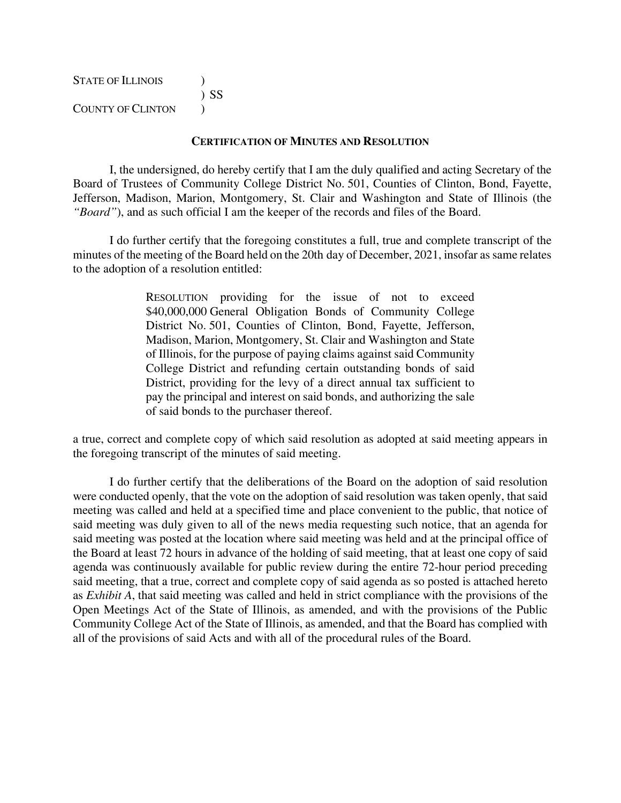| STATE OF ILLINOIS        |        |
|--------------------------|--------|
|                          | $)$ SS |
| <b>COUNTY OF CLINTON</b> |        |

#### **CERTIFICATION OF MINUTES AND RESOLUTION**

I, the undersigned, do hereby certify that I am the duly qualified and acting Secretary of the Board of Trustees of Community College District No. 501, Counties of Clinton, Bond, Fayette, Jefferson, Madison, Marion, Montgomery, St. Clair and Washington and State of Illinois (the *"Board"*), and as such official I am the keeper of the records and files of the Board.

I do further certify that the foregoing constitutes a full, true and complete transcript of the minutes of the meeting of the Board held on the 20th day of December, 2021, insofar as same relates to the adoption of a resolution entitled:

> RESOLUTION providing for the issue of not to exceed \$40,000,000 General Obligation Bonds of Community College District No. 501, Counties of Clinton, Bond, Fayette, Jefferson, Madison, Marion, Montgomery, St. Clair and Washington and State of Illinois, for the purpose of paying claims against said Community College District and refunding certain outstanding bonds of said District, providing for the levy of a direct annual tax sufficient to pay the principal and interest on said bonds, and authorizing the sale of said bonds to the purchaser thereof.

a true, correct and complete copy of which said resolution as adopted at said meeting appears in the foregoing transcript of the minutes of said meeting.

I do further certify that the deliberations of the Board on the adoption of said resolution were conducted openly, that the vote on the adoption of said resolution was taken openly, that said meeting was called and held at a specified time and place convenient to the public, that notice of said meeting was duly given to all of the news media requesting such notice, that an agenda for said meeting was posted at the location where said meeting was held and at the principal office of the Board at least 72 hours in advance of the holding of said meeting, that at least one copy of said agenda was continuously available for public review during the entire 72-hour period preceding said meeting, that a true, correct and complete copy of said agenda as so posted is attached hereto as *Exhibit A*, that said meeting was called and held in strict compliance with the provisions of the Open Meetings Act of the State of Illinois, as amended, and with the provisions of the Public Community College Act of the State of Illinois, as amended, and that the Board has complied with all of the provisions of said Acts and with all of the procedural rules of the Board.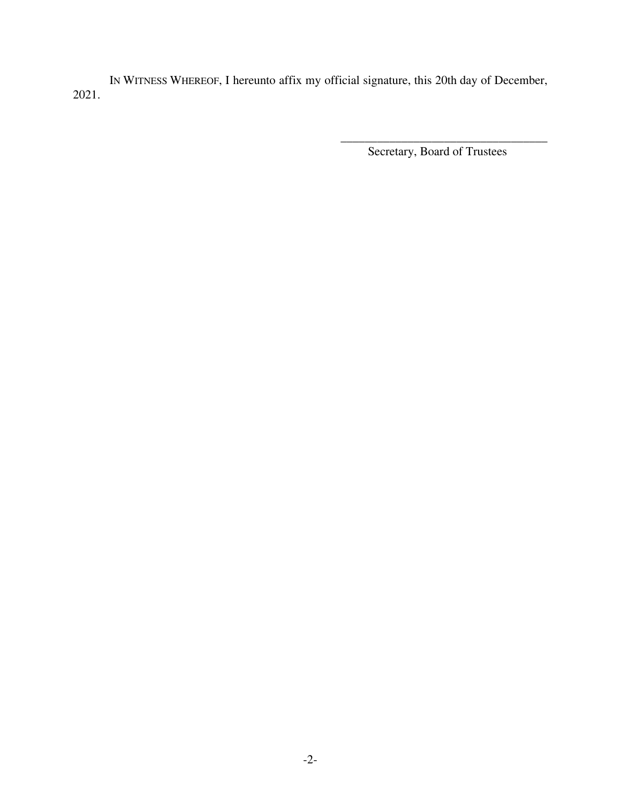IN WITNESS WHEREOF, I hereunto affix my official signature, this 20th day of December, 2021.

> $\overline{\phantom{a}}$  ,  $\overline{\phantom{a}}$  ,  $\overline{\phantom{a}}$  ,  $\overline{\phantom{a}}$  ,  $\overline{\phantom{a}}$  ,  $\overline{\phantom{a}}$  ,  $\overline{\phantom{a}}$  ,  $\overline{\phantom{a}}$  ,  $\overline{\phantom{a}}$  ,  $\overline{\phantom{a}}$  ,  $\overline{\phantom{a}}$  ,  $\overline{\phantom{a}}$  ,  $\overline{\phantom{a}}$  ,  $\overline{\phantom{a}}$  ,  $\overline{\phantom{a}}$  ,  $\overline{\phantom{a}}$ Secretary, Board of Trustees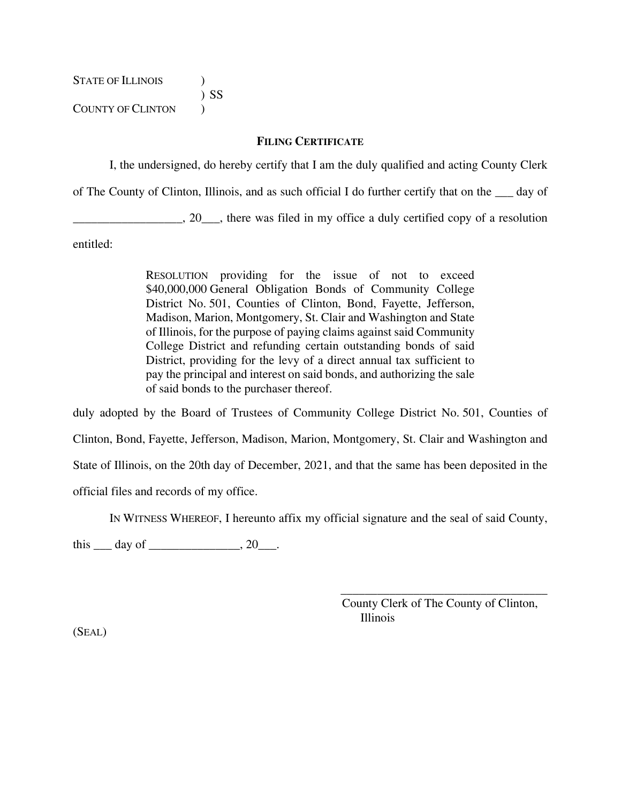STATE OF ILLINOIS  $\qquad$  ) ) SS COUNTY OF CLINTON  $\qquad$ )

### **FILING CERTIFICATE**

I, the undersigned, do hereby certify that I am the duly qualified and acting County Clerk

of The County of Clinton, Illinois, and as such official I do further certify that on the \_\_\_ day of

\_\_\_\_\_\_\_\_\_\_\_\_\_\_\_\_\_\_, 20\_\_\_, there was filed in my office a duly certified copy of a resolution

entitled:

RESOLUTION providing for the issue of not to exceed \$40,000,000 General Obligation Bonds of Community College District No. 501, Counties of Clinton, Bond, Fayette, Jefferson, Madison, Marion, Montgomery, St. Clair and Washington and State of Illinois, for the purpose of paying claims against said Community College District and refunding certain outstanding bonds of said District, providing for the levy of a direct annual tax sufficient to pay the principal and interest on said bonds, and authorizing the sale of said bonds to the purchaser thereof.

duly adopted by the Board of Trustees of Community College District No. 501, Counties of Clinton, Bond, Fayette, Jefferson, Madison, Marion, Montgomery, St. Clair and Washington and State of Illinois, on the 20th day of December, 2021, and that the same has been deposited in the official files and records of my office.

IN WITNESS WHEREOF, I hereunto affix my official signature and the seal of said County,

this  $\rule{1em}{0.15mm}$  day of  $\rule{1em}{0.15mm}$   $\qquad$   $\qquad$   $\qquad$   $\qquad$   $\qquad$   $\qquad$   $\qquad$   $\qquad$   $\qquad$   $\qquad$   $\qquad$   $\qquad$   $\qquad$   $\qquad$   $\qquad$   $\qquad$   $\qquad$   $\qquad$   $\qquad$   $\qquad$   $\qquad$   $\qquad$   $\qquad$   $\qquad$   $\qquad$   $\qquad$   $\qquad$   $\qquad$   $\qquad$   $\qquad$ 

County Clerk of The County of Clinton, Illinois

 $\overline{\phantom{a}}$  ,  $\overline{\phantom{a}}$  ,  $\overline{\phantom{a}}$  ,  $\overline{\phantom{a}}$  ,  $\overline{\phantom{a}}$  ,  $\overline{\phantom{a}}$  ,  $\overline{\phantom{a}}$  ,  $\overline{\phantom{a}}$  ,  $\overline{\phantom{a}}$  ,  $\overline{\phantom{a}}$  ,  $\overline{\phantom{a}}$  ,  $\overline{\phantom{a}}$  ,  $\overline{\phantom{a}}$  ,  $\overline{\phantom{a}}$  ,  $\overline{\phantom{a}}$  ,  $\overline{\phantom{a}}$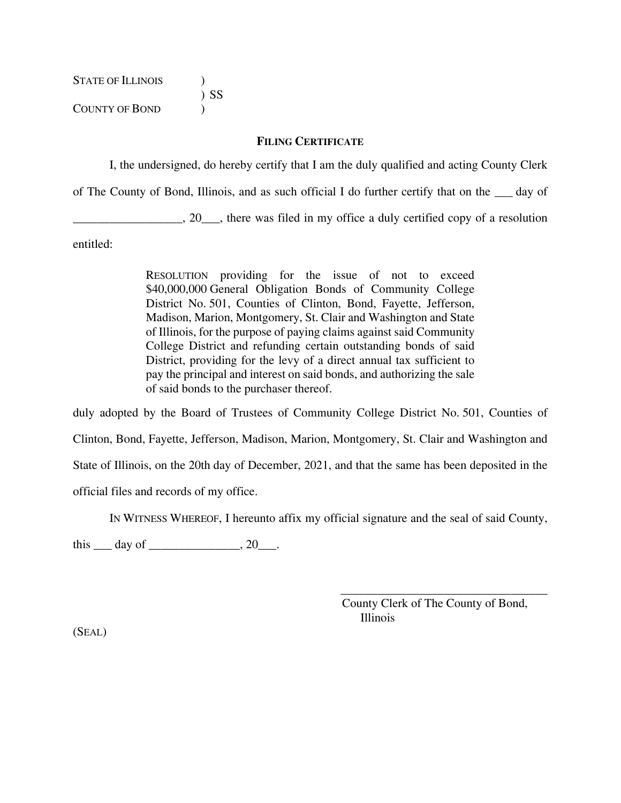STATE OF ILLINOIS ) ) SS COUNTY OF BOND )

### **FILING CERTIFICATE**

I, the undersigned, do hereby certify that I am the duly qualified and acting County Clerk

of The County of Bond, Illinois, and as such official I do further certify that on the \_\_\_ day of

\_\_\_\_\_\_\_\_\_\_\_\_\_\_\_\_\_\_, 20\_\_\_, there was filed in my office a duly certified copy of a resolution

entitled:

RESOLUTION providing for the issue of not to exceed \$40,000,000 General Obligation Bonds of Community College District No. 501, Counties of Clinton, Bond, Fayette, Jefferson, Madison, Marion, Montgomery, St. Clair and Washington and State of Illinois, for the purpose of paying claims against said Community College District and refunding certain outstanding bonds of said District, providing for the levy of a direct annual tax sufficient to pay the principal and interest on said bonds, and authorizing the sale of said bonds to the purchaser thereof.

duly adopted by the Board of Trustees of Community College District No. 501, Counties of Clinton, Bond, Fayette, Jefferson, Madison, Marion, Montgomery, St. Clair and Washington and State of Illinois, on the 20th day of December, 2021, and that the same has been deposited in the official files and records of my office.

IN WITNESS WHEREOF, I hereunto affix my official signature and the seal of said County,

this  $\rule{1em}{0.15mm}$  day of  $\rule{1em}{0.15mm}$   $\qquad$   $\qquad$   $\qquad$   $\qquad$   $\qquad$   $\qquad$   $\qquad$   $\qquad$   $\qquad$   $\qquad$   $\qquad$   $\qquad$   $\qquad$   $\qquad$   $\qquad$   $\qquad$   $\qquad$   $\qquad$   $\qquad$   $\qquad$   $\qquad$   $\qquad$   $\qquad$   $\qquad$   $\qquad$   $\qquad$   $\qquad$   $\qquad$   $\qquad$   $\qquad$ 

County Clerk of The County of Bond, Illinois

 $\overline{\phantom{a}}$  ,  $\overline{\phantom{a}}$  ,  $\overline{\phantom{a}}$  ,  $\overline{\phantom{a}}$  ,  $\overline{\phantom{a}}$  ,  $\overline{\phantom{a}}$  ,  $\overline{\phantom{a}}$  ,  $\overline{\phantom{a}}$  ,  $\overline{\phantom{a}}$  ,  $\overline{\phantom{a}}$  ,  $\overline{\phantom{a}}$  ,  $\overline{\phantom{a}}$  ,  $\overline{\phantom{a}}$  ,  $\overline{\phantom{a}}$  ,  $\overline{\phantom{a}}$  ,  $\overline{\phantom{a}}$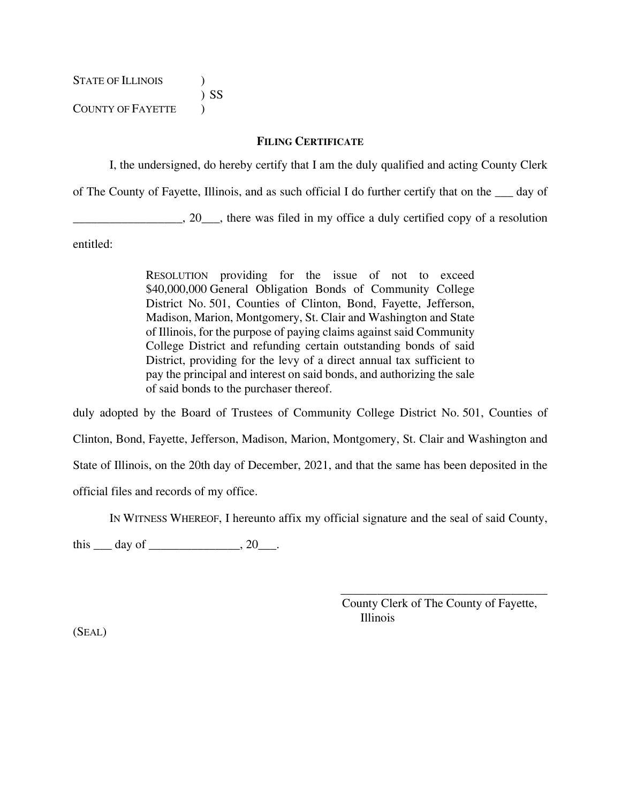STATE OF ILLINOIS  $\qquad$  ) ) SS COUNTY OF FAYETTE  $\qquad$ 

### **FILING CERTIFICATE**

I, the undersigned, do hereby certify that I am the duly qualified and acting County Clerk

of The County of Fayette, Illinois, and as such official I do further certify that on the \_\_\_ day of

\_\_\_\_\_\_\_\_\_\_\_\_\_\_\_\_\_\_, 20\_\_\_, there was filed in my office a duly certified copy of a resolution

entitled:

RESOLUTION providing for the issue of not to exceed \$40,000,000 General Obligation Bonds of Community College District No. 501, Counties of Clinton, Bond, Fayette, Jefferson, Madison, Marion, Montgomery, St. Clair and Washington and State of Illinois, for the purpose of paying claims against said Community College District and refunding certain outstanding bonds of said District, providing for the levy of a direct annual tax sufficient to pay the principal and interest on said bonds, and authorizing the sale of said bonds to the purchaser thereof.

duly adopted by the Board of Trustees of Community College District No. 501, Counties of Clinton, Bond, Fayette, Jefferson, Madison, Marion, Montgomery, St. Clair and Washington and State of Illinois, on the 20th day of December, 2021, and that the same has been deposited in the official files and records of my office.

IN WITNESS WHEREOF, I hereunto affix my official signature and the seal of said County,

this  $\rule{1em}{0.15mm}$  day of  $\rule{1em}{0.15mm}$   $\qquad$   $\qquad$   $\qquad$   $\qquad$   $\qquad$   $\qquad$   $\qquad$   $\qquad$   $\qquad$   $\qquad$   $\qquad$   $\qquad$   $\qquad$   $\qquad$   $\qquad$   $\qquad$   $\qquad$   $\qquad$   $\qquad$   $\qquad$   $\qquad$   $\qquad$   $\qquad$   $\qquad$   $\qquad$   $\qquad$   $\qquad$   $\qquad$   $\qquad$   $\qquad$ 

County Clerk of The County of Fayette, Illinois

 $\overline{\phantom{a}}$  ,  $\overline{\phantom{a}}$  ,  $\overline{\phantom{a}}$  ,  $\overline{\phantom{a}}$  ,  $\overline{\phantom{a}}$  ,  $\overline{\phantom{a}}$  ,  $\overline{\phantom{a}}$  ,  $\overline{\phantom{a}}$  ,  $\overline{\phantom{a}}$  ,  $\overline{\phantom{a}}$  ,  $\overline{\phantom{a}}$  ,  $\overline{\phantom{a}}$  ,  $\overline{\phantom{a}}$  ,  $\overline{\phantom{a}}$  ,  $\overline{\phantom{a}}$  ,  $\overline{\phantom{a}}$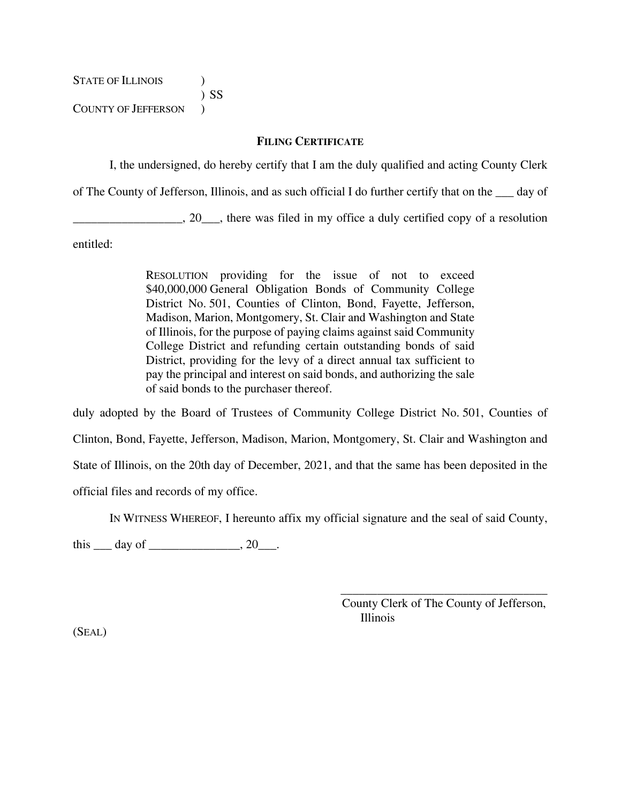STATE OF ILLINOIS  $\qquad$  ) ) SS COUNTY OF JEFFERSON )

### **FILING CERTIFICATE**

I, the undersigned, do hereby certify that I am the duly qualified and acting County Clerk

of The County of Jefferson, Illinois, and as such official I do further certify that on the \_\_\_ day of

\_\_\_\_\_\_\_\_\_\_\_\_\_\_\_\_\_\_, 20\_\_\_, there was filed in my office a duly certified copy of a resolution

entitled:

RESOLUTION providing for the issue of not to exceed \$40,000,000 General Obligation Bonds of Community College District No. 501, Counties of Clinton, Bond, Fayette, Jefferson, Madison, Marion, Montgomery, St. Clair and Washington and State of Illinois, for the purpose of paying claims against said Community College District and refunding certain outstanding bonds of said District, providing for the levy of a direct annual tax sufficient to pay the principal and interest on said bonds, and authorizing the sale of said bonds to the purchaser thereof.

duly adopted by the Board of Trustees of Community College District No. 501, Counties of Clinton, Bond, Fayette, Jefferson, Madison, Marion, Montgomery, St. Clair and Washington and State of Illinois, on the 20th day of December, 2021, and that the same has been deposited in the official files and records of my office.

IN WITNESS WHEREOF, I hereunto affix my official signature and the seal of said County,

this  $\rule{1em}{0.15mm}$  day of  $\rule{1em}{0.15mm}$   $\qquad$   $\qquad$   $\qquad$   $\qquad$   $\qquad$   $\qquad$   $\qquad$   $\qquad$   $\qquad$   $\qquad$   $\qquad$   $\qquad$   $\qquad$   $\qquad$   $\qquad$   $\qquad$   $\qquad$   $\qquad$   $\qquad$   $\qquad$   $\qquad$   $\qquad$   $\qquad$   $\qquad$   $\qquad$   $\qquad$   $\qquad$   $\qquad$   $\qquad$   $\qquad$ 

County Clerk of The County of Jefferson, Illinois

 $\overline{\phantom{a}}$  ,  $\overline{\phantom{a}}$  ,  $\overline{\phantom{a}}$  ,  $\overline{\phantom{a}}$  ,  $\overline{\phantom{a}}$  ,  $\overline{\phantom{a}}$  ,  $\overline{\phantom{a}}$  ,  $\overline{\phantom{a}}$  ,  $\overline{\phantom{a}}$  ,  $\overline{\phantom{a}}$  ,  $\overline{\phantom{a}}$  ,  $\overline{\phantom{a}}$  ,  $\overline{\phantom{a}}$  ,  $\overline{\phantom{a}}$  ,  $\overline{\phantom{a}}$  ,  $\overline{\phantom{a}}$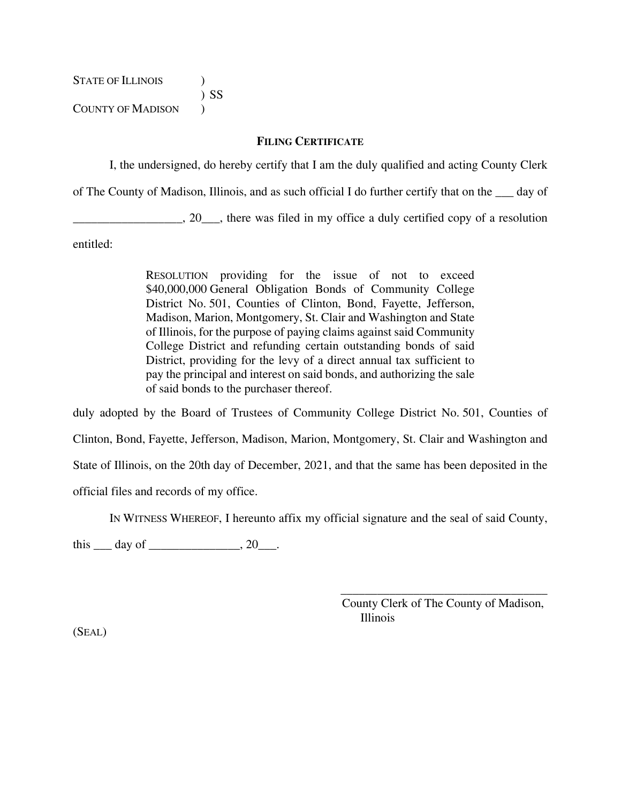STATE OF ILLINOIS  $\qquad$  ) ) SS COUNTY OF MADISON  $\qquad$ )

### **FILING CERTIFICATE**

I, the undersigned, do hereby certify that I am the duly qualified and acting County Clerk

of The County of Madison, Illinois, and as such official I do further certify that on the \_\_\_ day of

\_\_\_\_\_\_\_\_\_\_\_\_\_\_\_\_\_\_, 20\_\_\_, there was filed in my office a duly certified copy of a resolution

entitled:

RESOLUTION providing for the issue of not to exceed \$40,000,000 General Obligation Bonds of Community College District No. 501, Counties of Clinton, Bond, Fayette, Jefferson, Madison, Marion, Montgomery, St. Clair and Washington and State of Illinois, for the purpose of paying claims against said Community College District and refunding certain outstanding bonds of said District, providing for the levy of a direct annual tax sufficient to pay the principal and interest on said bonds, and authorizing the sale of said bonds to the purchaser thereof.

duly adopted by the Board of Trustees of Community College District No. 501, Counties of Clinton, Bond, Fayette, Jefferson, Madison, Marion, Montgomery, St. Clair and Washington and State of Illinois, on the 20th day of December, 2021, and that the same has been deposited in the official files and records of my office.

IN WITNESS WHEREOF, I hereunto affix my official signature and the seal of said County,

this  $\rule{1em}{0.15mm}$  day of  $\rule{1em}{0.15mm}$   $\qquad$   $\qquad$   $\qquad$   $\qquad$   $\qquad$   $\qquad$   $\qquad$   $\qquad$   $\qquad$   $\qquad$   $\qquad$   $\qquad$   $\qquad$   $\qquad$   $\qquad$   $\qquad$   $\qquad$   $\qquad$   $\qquad$   $\qquad$   $\qquad$   $\qquad$   $\qquad$   $\qquad$   $\qquad$   $\qquad$   $\qquad$   $\qquad$   $\qquad$   $\qquad$ 

County Clerk of The County of Madison, Illinois

 $\overline{\phantom{a}}$  ,  $\overline{\phantom{a}}$  ,  $\overline{\phantom{a}}$  ,  $\overline{\phantom{a}}$  ,  $\overline{\phantom{a}}$  ,  $\overline{\phantom{a}}$  ,  $\overline{\phantom{a}}$  ,  $\overline{\phantom{a}}$  ,  $\overline{\phantom{a}}$  ,  $\overline{\phantom{a}}$  ,  $\overline{\phantom{a}}$  ,  $\overline{\phantom{a}}$  ,  $\overline{\phantom{a}}$  ,  $\overline{\phantom{a}}$  ,  $\overline{\phantom{a}}$  ,  $\overline{\phantom{a}}$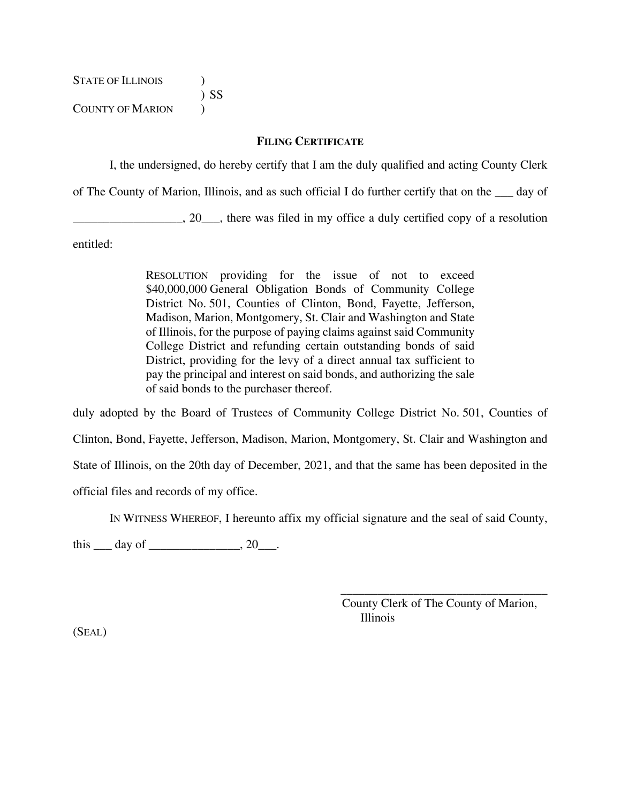STATE OF ILLINOIS  $\qquad$  ) ) SS COUNTY OF MARION  $\qquad$ 

### **FILING CERTIFICATE**

I, the undersigned, do hereby certify that I am the duly qualified and acting County Clerk

of The County of Marion, Illinois, and as such official I do further certify that on the \_\_\_ day of

\_\_\_\_\_\_\_\_\_\_\_\_\_\_\_\_\_\_, 20\_\_\_, there was filed in my office a duly certified copy of a resolution

entitled:

RESOLUTION providing for the issue of not to exceed \$40,000,000 General Obligation Bonds of Community College District No. 501, Counties of Clinton, Bond, Fayette, Jefferson, Madison, Marion, Montgomery, St. Clair and Washington and State of Illinois, for the purpose of paying claims against said Community College District and refunding certain outstanding bonds of said District, providing for the levy of a direct annual tax sufficient to pay the principal and interest on said bonds, and authorizing the sale of said bonds to the purchaser thereof.

duly adopted by the Board of Trustees of Community College District No. 501, Counties of Clinton, Bond, Fayette, Jefferson, Madison, Marion, Montgomery, St. Clair and Washington and State of Illinois, on the 20th day of December, 2021, and that the same has been deposited in the official files and records of my office.

IN WITNESS WHEREOF, I hereunto affix my official signature and the seal of said County,

this  $\rule{1em}{0.15mm}$  day of  $\rule{1em}{0.15mm}$   $\qquad$   $\qquad$   $\qquad$   $\qquad$   $\qquad$   $\qquad$   $\qquad$   $\qquad$   $\qquad$   $\qquad$   $\qquad$   $\qquad$   $\qquad$   $\qquad$   $\qquad$   $\qquad$   $\qquad$   $\qquad$   $\qquad$   $\qquad$   $\qquad$   $\qquad$   $\qquad$   $\qquad$   $\qquad$   $\qquad$   $\qquad$   $\qquad$   $\qquad$   $\qquad$ 

County Clerk of The County of Marion, Illinois

 $\overline{\phantom{a}}$  ,  $\overline{\phantom{a}}$  ,  $\overline{\phantom{a}}$  ,  $\overline{\phantom{a}}$  ,  $\overline{\phantom{a}}$  ,  $\overline{\phantom{a}}$  ,  $\overline{\phantom{a}}$  ,  $\overline{\phantom{a}}$  ,  $\overline{\phantom{a}}$  ,  $\overline{\phantom{a}}$  ,  $\overline{\phantom{a}}$  ,  $\overline{\phantom{a}}$  ,  $\overline{\phantom{a}}$  ,  $\overline{\phantom{a}}$  ,  $\overline{\phantom{a}}$  ,  $\overline{\phantom{a}}$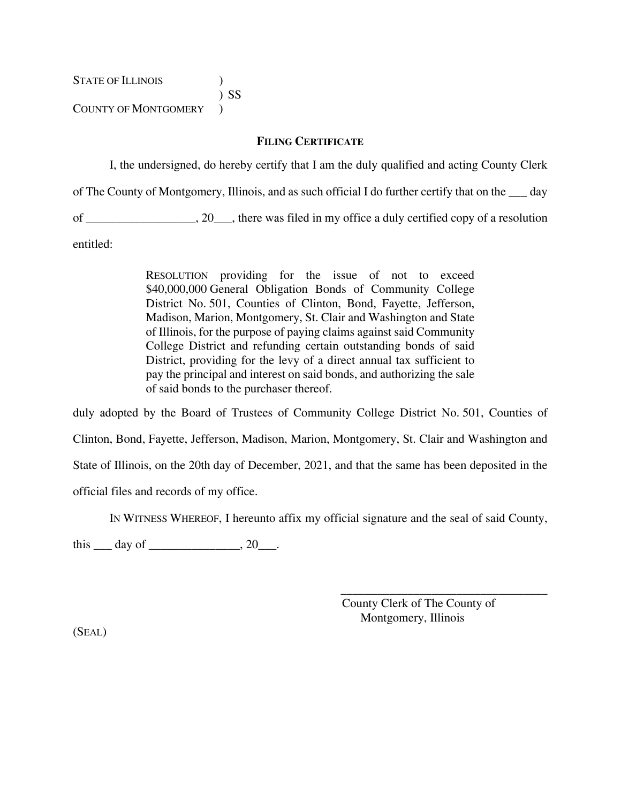STATE OF ILLINOIS (1) ) SS

COUNTY OF MONTGOMERY )

### **FILING CERTIFICATE**

I, the undersigned, do hereby certify that I am the duly qualified and acting County Clerk of The County of Montgomery, Illinois, and as such official I do further certify that on the \_\_\_ day of contact the state of the state of the state of the state of the state of the state of the state of the state of the state of the state of the state of the state of the state of the state of the state of the state of the

entitled:

RESOLUTION providing for the issue of not to exceed \$40,000,000 General Obligation Bonds of Community College District No. 501, Counties of Clinton, Bond, Fayette, Jefferson, Madison, Marion, Montgomery, St. Clair and Washington and State of Illinois, for the purpose of paying claims against said Community College District and refunding certain outstanding bonds of said District, providing for the levy of a direct annual tax sufficient to pay the principal and interest on said bonds, and authorizing the sale of said bonds to the purchaser thereof.

duly adopted by the Board of Trustees of Community College District No. 501, Counties of Clinton, Bond, Fayette, Jefferson, Madison, Marion, Montgomery, St. Clair and Washington and State of Illinois, on the 20th day of December, 2021, and that the same has been deposited in the official files and records of my office.

IN WITNESS WHEREOF, I hereunto affix my official signature and the seal of said County,

this  $\rule{1em}{0.15mm}$  day of  $\rule{1em}{0.15mm}$   $\qquad$   $\qquad$   $\qquad$   $\qquad$   $\qquad$   $\qquad$   $\qquad$   $\qquad$   $\qquad$   $\qquad$   $\qquad$   $\qquad$   $\qquad$   $\qquad$   $\qquad$   $\qquad$   $\qquad$   $\qquad$   $\qquad$   $\qquad$   $\qquad$   $\qquad$   $\qquad$   $\qquad$   $\qquad$   $\qquad$   $\qquad$   $\qquad$   $\qquad$   $\qquad$ 

County Clerk of The County of Montgomery, Illinois

 $\overline{\phantom{a}}$  ,  $\overline{\phantom{a}}$  ,  $\overline{\phantom{a}}$  ,  $\overline{\phantom{a}}$  ,  $\overline{\phantom{a}}$  ,  $\overline{\phantom{a}}$  ,  $\overline{\phantom{a}}$  ,  $\overline{\phantom{a}}$  ,  $\overline{\phantom{a}}$  ,  $\overline{\phantom{a}}$  ,  $\overline{\phantom{a}}$  ,  $\overline{\phantom{a}}$  ,  $\overline{\phantom{a}}$  ,  $\overline{\phantom{a}}$  ,  $\overline{\phantom{a}}$  ,  $\overline{\phantom{a}}$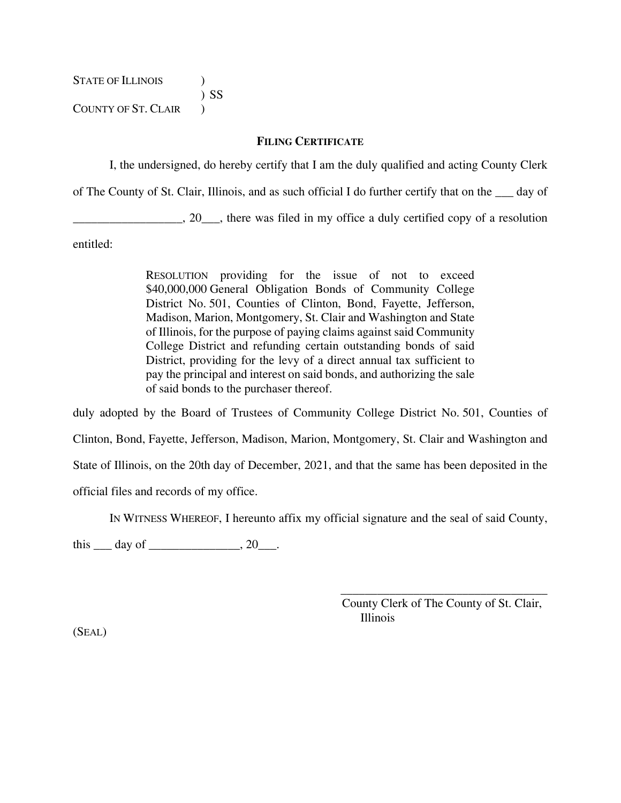STATE OF ILLINOIS  $\qquad$  ) ) SS COUNTY OF ST. CLAIR  $\qquad$ 

### **FILING CERTIFICATE**

I, the undersigned, do hereby certify that I am the duly qualified and acting County Clerk

of The County of St. Clair, Illinois, and as such official I do further certify that on the \_\_\_ day of

\_\_\_\_\_\_\_\_\_\_\_\_\_\_\_\_\_\_, 20\_\_\_, there was filed in my office a duly certified copy of a resolution

entitled:

RESOLUTION providing for the issue of not to exceed \$40,000,000 General Obligation Bonds of Community College District No. 501, Counties of Clinton, Bond, Fayette, Jefferson, Madison, Marion, Montgomery, St. Clair and Washington and State of Illinois, for the purpose of paying claims against said Community College District and refunding certain outstanding bonds of said District, providing for the levy of a direct annual tax sufficient to pay the principal and interest on said bonds, and authorizing the sale of said bonds to the purchaser thereof.

duly adopted by the Board of Trustees of Community College District No. 501, Counties of Clinton, Bond, Fayette, Jefferson, Madison, Marion, Montgomery, St. Clair and Washington and State of Illinois, on the 20th day of December, 2021, and that the same has been deposited in the official files and records of my office.

IN WITNESS WHEREOF, I hereunto affix my official signature and the seal of said County,

this  $\rule{1em}{0.15mm}$  day of  $\rule{1em}{0.15mm}$   $\qquad$   $\qquad$   $\qquad$   $\qquad$   $\qquad$   $\qquad$   $\qquad$   $\qquad$   $\qquad$   $\qquad$   $\qquad$   $\qquad$   $\qquad$   $\qquad$   $\qquad$   $\qquad$   $\qquad$   $\qquad$   $\qquad$   $\qquad$   $\qquad$   $\qquad$   $\qquad$   $\qquad$   $\qquad$   $\qquad$   $\qquad$   $\qquad$   $\qquad$   $\qquad$ 

County Clerk of The County of St. Clair, Illinois

 $\overline{\phantom{a}}$  ,  $\overline{\phantom{a}}$  ,  $\overline{\phantom{a}}$  ,  $\overline{\phantom{a}}$  ,  $\overline{\phantom{a}}$  ,  $\overline{\phantom{a}}$  ,  $\overline{\phantom{a}}$  ,  $\overline{\phantom{a}}$  ,  $\overline{\phantom{a}}$  ,  $\overline{\phantom{a}}$  ,  $\overline{\phantom{a}}$  ,  $\overline{\phantom{a}}$  ,  $\overline{\phantom{a}}$  ,  $\overline{\phantom{a}}$  ,  $\overline{\phantom{a}}$  ,  $\overline{\phantom{a}}$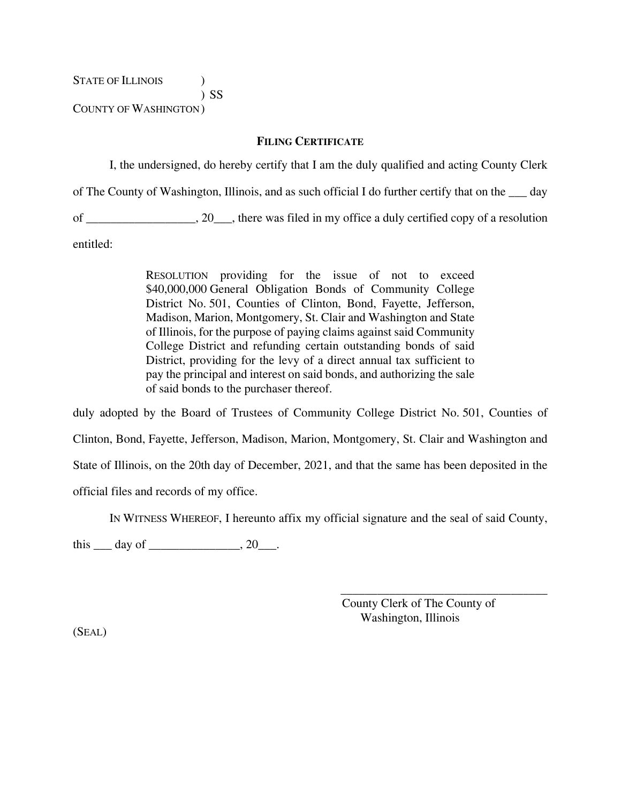STATE OF ILLINOIS  $\qquad$  ) ) SS COUNTY OF WASHINGTON )

### **FILING CERTIFICATE**

I, the undersigned, do hereby certify that I am the duly qualified and acting County Clerk of The County of Washington, Illinois, and as such official I do further certify that on the \_\_\_ day of contact the state of the state of the state of the state of the state of the state of the state of the state of the state of the state of the state of the state of the state of the state of the state of the state of the

entitled:

RESOLUTION providing for the issue of not to exceed \$40,000,000 General Obligation Bonds of Community College District No. 501, Counties of Clinton, Bond, Fayette, Jefferson, Madison, Marion, Montgomery, St. Clair and Washington and State of Illinois, for the purpose of paying claims against said Community College District and refunding certain outstanding bonds of said District, providing for the levy of a direct annual tax sufficient to pay the principal and interest on said bonds, and authorizing the sale of said bonds to the purchaser thereof.

duly adopted by the Board of Trustees of Community College District No. 501, Counties of Clinton, Bond, Fayette, Jefferson, Madison, Marion, Montgomery, St. Clair and Washington and State of Illinois, on the 20th day of December, 2021, and that the same has been deposited in the official files and records of my office.

IN WITNESS WHEREOF, I hereunto affix my official signature and the seal of said County,

this  $\rule{1em}{0.15mm}$  day of  $\rule{1em}{0.15mm}$   $\qquad$   $\qquad$   $\qquad$   $\qquad$   $\qquad$   $\qquad$   $\qquad$   $\qquad$   $\qquad$   $\qquad$   $\qquad$   $\qquad$   $\qquad$   $\qquad$   $\qquad$   $\qquad$   $\qquad$   $\qquad$   $\qquad$   $\qquad$   $\qquad$   $\qquad$   $\qquad$   $\qquad$   $\qquad$   $\qquad$   $\qquad$   $\qquad$   $\qquad$   $\qquad$ 

County Clerk of The County of Washington, Illinois

 $\overline{\phantom{a}}$  ,  $\overline{\phantom{a}}$  ,  $\overline{\phantom{a}}$  ,  $\overline{\phantom{a}}$  ,  $\overline{\phantom{a}}$  ,  $\overline{\phantom{a}}$  ,  $\overline{\phantom{a}}$  ,  $\overline{\phantom{a}}$  ,  $\overline{\phantom{a}}$  ,  $\overline{\phantom{a}}$  ,  $\overline{\phantom{a}}$  ,  $\overline{\phantom{a}}$  ,  $\overline{\phantom{a}}$  ,  $\overline{\phantom{a}}$  ,  $\overline{\phantom{a}}$  ,  $\overline{\phantom{a}}$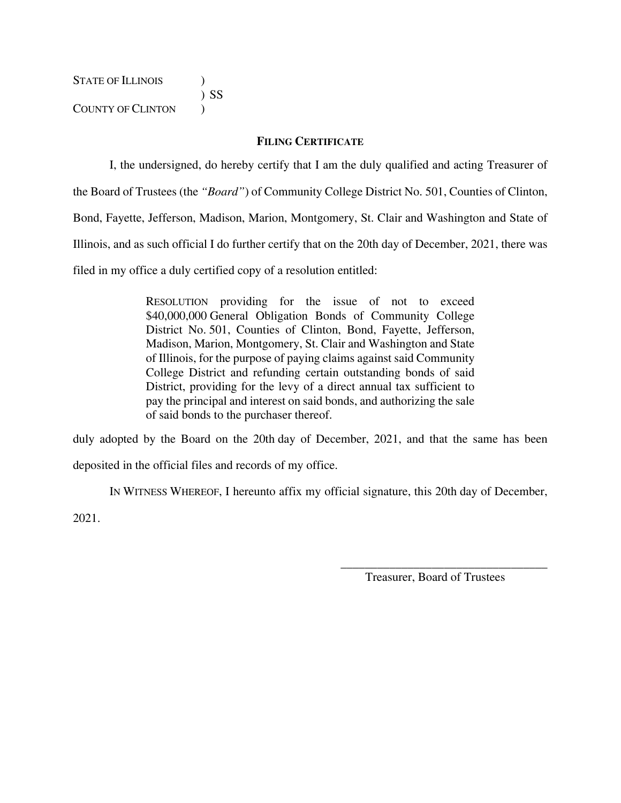STATE OF ILLINOIS  $\qquad$  ) ) SS COUNTY OF CLINTON  $\qquad$ )

### **FILING CERTIFICATE**

I, the undersigned, do hereby certify that I am the duly qualified and acting Treasurer of

the Board of Trustees (the *"Board"*) of Community College District No. 501, Counties of Clinton,

Bond, Fayette, Jefferson, Madison, Marion, Montgomery, St. Clair and Washington and State of

Illinois, and as such official I do further certify that on the 20th day of December, 2021, there was

filed in my office a duly certified copy of a resolution entitled:

RESOLUTION providing for the issue of not to exceed \$40,000,000 General Obligation Bonds of Community College District No. 501, Counties of Clinton, Bond, Fayette, Jefferson, Madison, Marion, Montgomery, St. Clair and Washington and State of Illinois, for the purpose of paying claims against said Community College District and refunding certain outstanding bonds of said District, providing for the levy of a direct annual tax sufficient to pay the principal and interest on said bonds, and authorizing the sale of said bonds to the purchaser thereof.

duly adopted by the Board on the 20th day of December, 2021, and that the same has been deposited in the official files and records of my office.

IN WITNESS WHEREOF, I hereunto affix my official signature, this 20th day of December, 2021.

> $\overline{\phantom{a}}$  ,  $\overline{\phantom{a}}$  ,  $\overline{\phantom{a}}$  ,  $\overline{\phantom{a}}$  ,  $\overline{\phantom{a}}$  ,  $\overline{\phantom{a}}$  ,  $\overline{\phantom{a}}$  ,  $\overline{\phantom{a}}$  ,  $\overline{\phantom{a}}$  ,  $\overline{\phantom{a}}$  ,  $\overline{\phantom{a}}$  ,  $\overline{\phantom{a}}$  ,  $\overline{\phantom{a}}$  ,  $\overline{\phantom{a}}$  ,  $\overline{\phantom{a}}$  ,  $\overline{\phantom{a}}$ Treasurer, Board of Trustees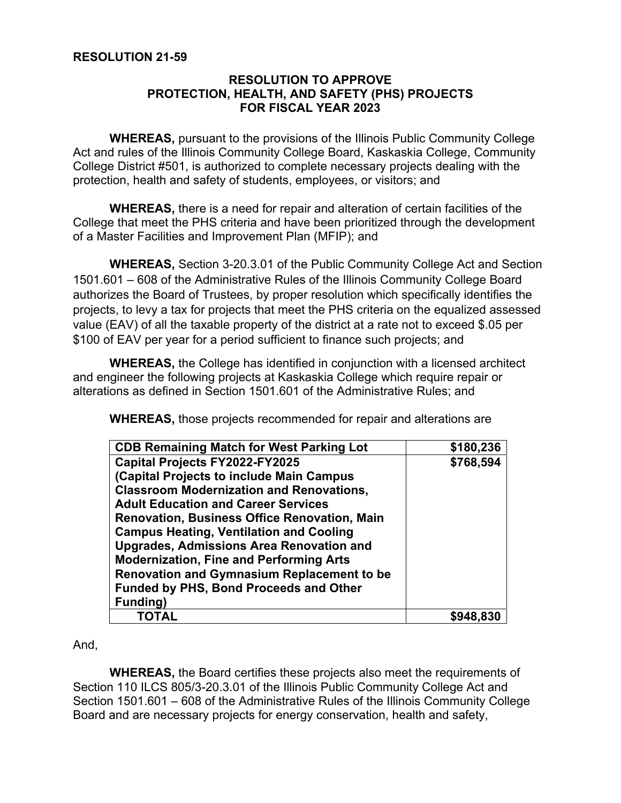# **RESOLUTION 21-59**

## **RESOLUTION TO APPROVE PROTECTION, HEALTH, AND SAFETY (PHS) PROJECTS FOR FISCAL YEAR 2023**

**WHEREAS,** pursuant to the provisions of the Illinois Public Community College Act and rules of the Illinois Community College Board, Kaskaskia College, Community College District #501, is authorized to complete necessary projects dealing with the protection, health and safety of students, employees, or visitors; and

**WHEREAS,** there is a need for repair and alteration of certain facilities of the College that meet the PHS criteria and have been prioritized through the development of a Master Facilities and Improvement Plan (MFIP); and

**WHEREAS,** Section 3-20.3.01 of the Public Community College Act and Section 1501.601 – 608 of the Administrative Rules of the Illinois Community College Board authorizes the Board of Trustees, by proper resolution which specifically identifies the projects, to levy a tax for projects that meet the PHS criteria on the equalized assessed value (EAV) of all the taxable property of the district at a rate not to exceed \$.05 per \$100 of EAV per year for a period sufficient to finance such projects; and

**WHEREAS,** the College has identified in conjunction with a licensed architect and engineer the following projects at Kaskaskia College which require repair or alterations as defined in Section 1501.601 of the Administrative Rules; and

**WHEREAS,** those projects recommended for repair and alterations are

| <b>CDB Remaining Match for West Parking Lot</b>     | \$180,236 |
|-----------------------------------------------------|-----------|
| <b>Capital Projects FY2022-FY2025</b>               | \$768,594 |
| (Capital Projects to include Main Campus            |           |
| <b>Classroom Modernization and Renovations,</b>     |           |
| <b>Adult Education and Career Services</b>          |           |
| <b>Renovation, Business Office Renovation, Main</b> |           |
| <b>Campus Heating, Ventilation and Cooling</b>      |           |
| <b>Upgrades, Admissions Area Renovation and</b>     |           |
| <b>Modernization, Fine and Performing Arts</b>      |           |
| <b>Renovation and Gymnasium Replacement to be</b>   |           |
| <b>Funded by PHS, Bond Proceeds and Other</b>       |           |
| Funding)                                            |           |
| ΤΟΤΑL                                               |           |

### And,

**WHEREAS,** the Board certifies these projects also meet the requirements of Section 110 ILCS 805/3-20.3.01 of the Illinois Public Community College Act and Section 1501.601 – 608 of the Administrative Rules of the Illinois Community College Board and are necessary projects for energy conservation, health and safety,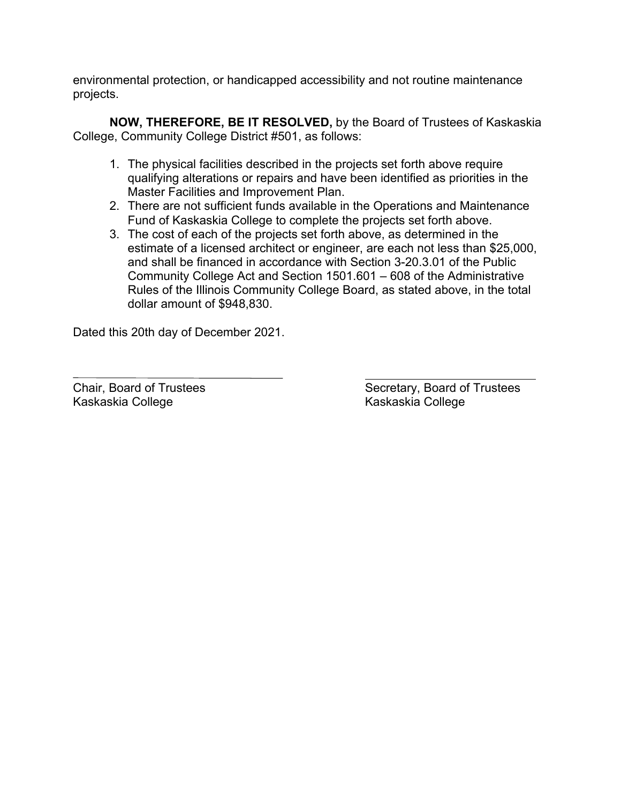environmental protection, or handicapped accessibility and not routine maintenance projects.

**NOW, THEREFORE, BE IT RESOLVED,** by the Board of Trustees of Kaskaskia College, Community College District #501, as follows:

- 1. The physical facilities described in the projects set forth above require qualifying alterations or repairs and have been identified as priorities in the Master Facilities and Improvement Plan.
- 2. There are not sufficient funds available in the Operations and Maintenance Fund of Kaskaskia College to complete the projects set forth above.
- 3. The cost of each of the projects set forth above, as determined in the estimate of a licensed architect or engineer, are each not less than \$25,000, and shall be financed in accordance with Section 3-20.3.01 of the Public Community College Act and Section 1501.601 – 608 of the Administrative Rules of the Illinois Community College Board, as stated above, in the total dollar amount of \$948,830.

Dated this 20th day of December 2021.

Kaskaskia College Kaskaskia College

Chair, Board of Trustees Secretary, Board of Trustees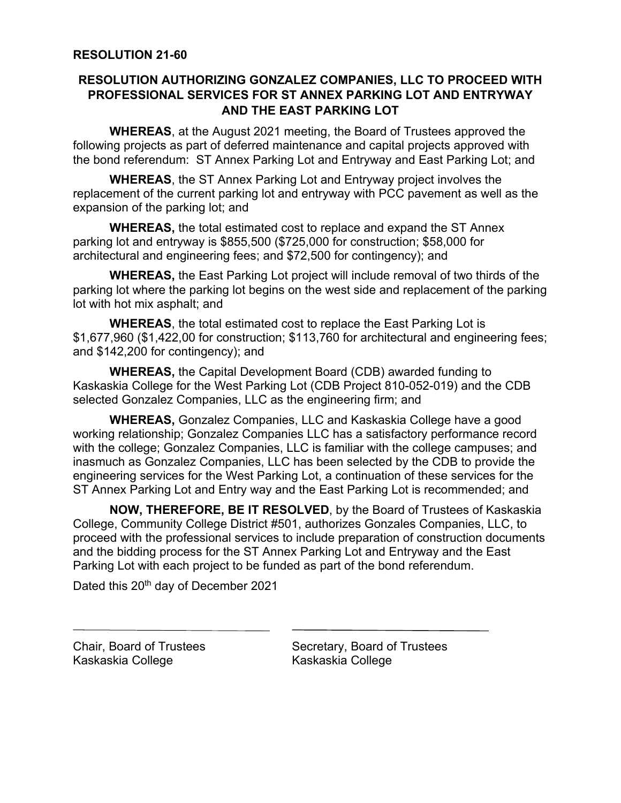# **RESOLUTION AUTHORIZING GONZALEZ COMPANIES, LLC TO PROCEED WITH PROFESSIONAL SERVICES FOR ST ANNEX PARKING LOT AND ENTRYWAY AND THE EAST PARKING LOT**

**WHEREAS**, at the August 2021 meeting, the Board of Trustees approved the following projects as part of deferred maintenance and capital projects approved with the bond referendum: ST Annex Parking Lot and Entryway and East Parking Lot; and

**WHEREAS**, the ST Annex Parking Lot and Entryway project involves the replacement of the current parking lot and entryway with PCC pavement as well as the expansion of the parking lot; and

**WHEREAS,** the total estimated cost to replace and expand the ST Annex parking lot and entryway is \$855,500 (\$725,000 for construction; \$58,000 for architectural and engineering fees; and \$72,500 for contingency); and

**WHEREAS,** the East Parking Lot project will include removal of two thirds of the parking lot where the parking lot begins on the west side and replacement of the parking lot with hot mix asphalt; and

**WHEREAS**, the total estimated cost to replace the East Parking Lot is \$1,677,960 (\$1,422,00 for construction; \$113,760 for architectural and engineering fees; and \$142,200 for contingency); and

**WHEREAS,** the Capital Development Board (CDB) awarded funding to Kaskaskia College for the West Parking Lot (CDB Project 810-052-019) and the CDB selected Gonzalez Companies, LLC as the engineering firm; and

**WHEREAS,** Gonzalez Companies, LLC and Kaskaskia College have a good working relationship; Gonzalez Companies LLC has a satisfactory performance record with the college; Gonzalez Companies, LLC is familiar with the college campuses; and inasmuch as Gonzalez Companies, LLC has been selected by the CDB to provide the engineering services for the West Parking Lot, a continuation of these services for the ST Annex Parking Lot and Entry way and the East Parking Lot is recommended; and

**NOW, THEREFORE, BE IT RESOLVED**, by the Board of Trustees of Kaskaskia College, Community College District #501, authorizes Gonzales Companies, LLC, to proceed with the professional services to include preparation of construction documents and the bidding process for the ST Annex Parking Lot and Entryway and the East Parking Lot with each project to be funded as part of the bond referendum.

Dated this 20<sup>th</sup> day of December 2021

Kaskaskia College Kaskaskia College

Chair, Board of Trustees Secretary, Board of Trustees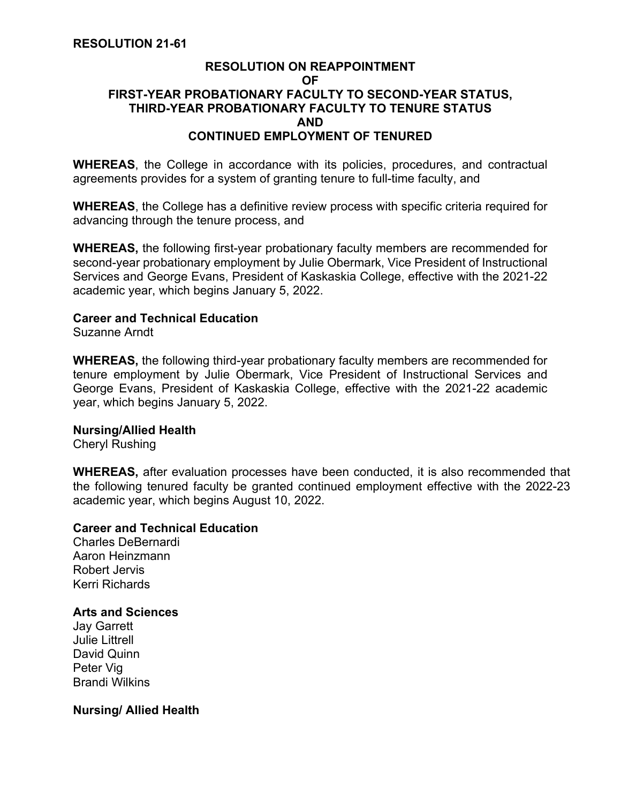## **RESOLUTION ON REAPPOINTMENT OF FIRST-YEAR PROBATIONARY FACULTY TO SECOND-YEAR STATUS, THIRD-YEAR PROBATIONARY FACULTY TO TENURE STATUS AND CONTINUED EMPLOYMENT OF TENURED**

**WHEREAS**, the College in accordance with its policies, procedures, and contractual agreements provides for a system of granting tenure to full-time faculty, and

**WHEREAS**, the College has a definitive review process with specific criteria required for advancing through the tenure process, and

**WHEREAS,** the following first-year probationary faculty members are recommended for second-year probationary employment by Julie Obermark, Vice President of Instructional Services and George Evans, President of Kaskaskia College, effective with the 2021-22 academic year, which begins January 5, 2022.

## **Career and Technical Education**

Suzanne Arndt

**WHEREAS,** the following third-year probationary faculty members are recommended for tenure employment by Julie Obermark, Vice President of Instructional Services and George Evans, President of Kaskaskia College, effective with the 2021-22 academic year, which begins January 5, 2022.

### **Nursing/Allied Health**

Cheryl Rushing

**WHEREAS,** after evaluation processes have been conducted, it is also recommended that the following tenured faculty be granted continued employment effective with the 2022-23 academic year, which begins August 10, 2022.

### **Career and Technical Education**

Charles DeBernardi Aaron Heinzmann Robert Jervis Kerri Richards

## **Arts and Sciences**

Jay Garrett Julie Littrell David Quinn Peter Vig Brandi Wilkins

## **Nursing/ Allied Health**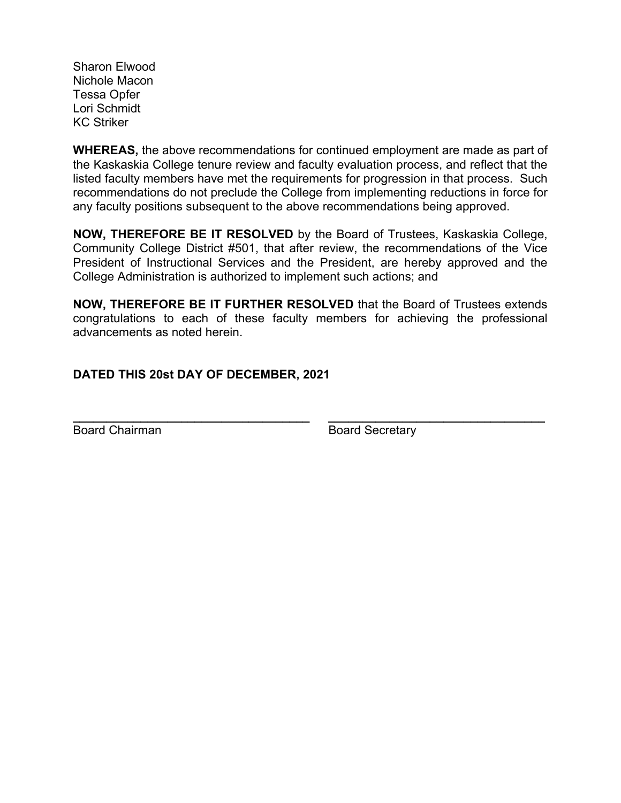Sharon Elwood Nichole Macon Tessa Opfer Lori Schmidt KC Striker

**WHEREAS,** the above recommendations for continued employment are made as part of the Kaskaskia College tenure review and faculty evaluation process, and reflect that the listed faculty members have met the requirements for progression in that process. Such recommendations do not preclude the College from implementing reductions in force for any faculty positions subsequent to the above recommendations being approved.

**NOW, THEREFORE BE IT RESOLVED** by the Board of Trustees, Kaskaskia College, Community College District #501, that after review, the recommendations of the Vice President of Instructional Services and the President, are hereby approved and the College Administration is authorized to implement such actions; and

**NOW, THEREFORE BE IT FURTHER RESOLVED** that the Board of Trustees extends congratulations to each of these faculty members for achieving the professional advancements as noted herein.

# **DATED THIS 20st DAY OF DECEMBER, 2021**

**\_\_\_\_\_\_\_\_\_\_\_\_\_\_\_\_\_\_\_\_\_\_\_\_\_\_\_\_\_\_\_\_\_\_\_ \_\_\_\_\_\_\_\_\_\_\_\_\_\_\_\_\_\_\_\_\_\_\_\_\_\_\_\_\_\_\_\_**  Board Chairman Board Secretary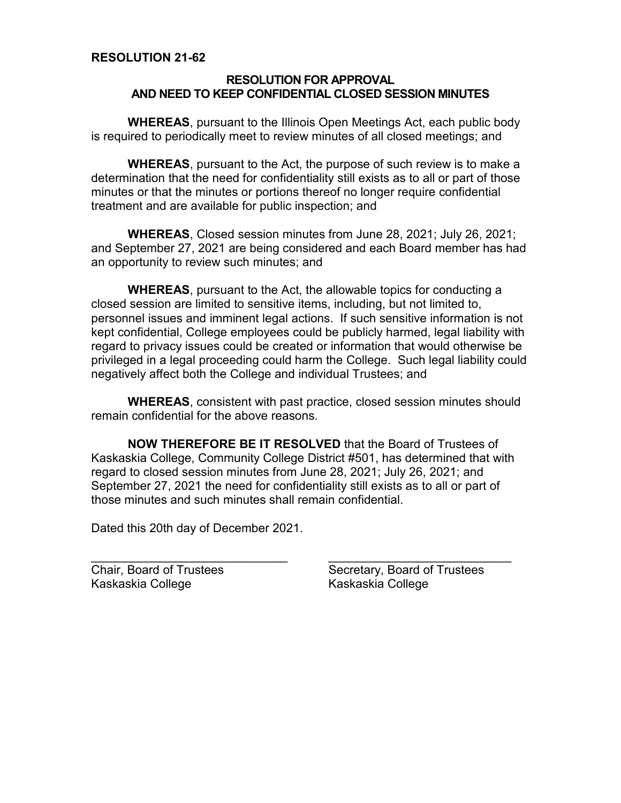### **RESOLUTION FOR APPROVAL AND NEED TO KEEP CONFIDENTIAL CLOSED SESSION MINUTES**

**WHEREAS**, pursuant to the Illinois Open Meetings Act, each public body is required to periodically meet to review minutes of all closed meetings; and

**WHEREAS**, pursuant to the Act, the purpose of such review is to make a determination that the need for confidentiality still exists as to all or part of those minutes or that the minutes or portions thereof no longer require confidential treatment and are available for public inspection; and

**WHEREAS**, Closed session minutes from June 28, 2021; July 26, 2021; and September 27, 2021 are being considered and each Board member has had an opportunity to review such minutes; and

**WHEREAS**, pursuant to the Act, the allowable topics for conducting a closed session are limited to sensitive items, including, but not limited to, personnel issues and imminent legal actions. If such sensitive information is not kept confidential, College employees could be publicly harmed, legal liability with regard to privacy issues could be created or information that would otherwise be privileged in a legal proceeding could harm the College. Such legal liability could negatively affect both the College and individual Trustees; and

**WHEREAS**, consistent with past practice, closed session minutes should remain confidential for the above reasons.

**NOW THEREFORE BE IT RESOLVED** that the Board of Trustees of Kaskaskia College, Community College District #501, has determined that with regard to closed session minutes from June 28, 2021; July 26, 2021; and September 27, 2021 the need for confidentiality still exists as to all or part of those minutes and such minutes shall remain confidential.

Dated this 20th day of December 2021.

\_\_\_\_\_\_\_\_\_\_\_\_\_\_\_\_\_\_\_\_\_\_\_\_\_\_\_\_\_

Chair, Board of Trustees Kaskaskia College

\_\_\_\_\_\_\_\_\_\_\_\_\_\_\_\_\_\_\_\_\_\_\_\_\_\_\_ Secretary, Board of Trustees Kaskaskia College